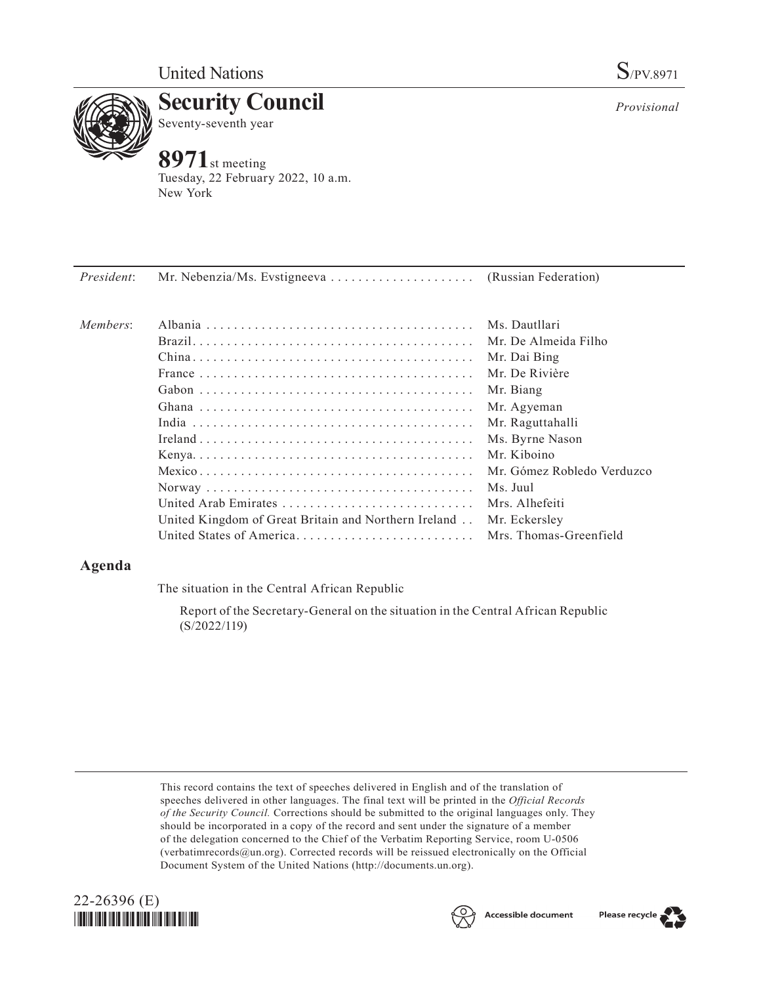

**Security Council** Seventy-seventh year

# **8971**st meeting

Tuesday, 22 February 2022, 10 a.m. New York

*President*: Mr. Nebenzia/Ms. Evstigneeva. . . (Russian Federation)

| Members: |                                                      | Ms. Dautllari              |
|----------|------------------------------------------------------|----------------------------|
|          |                                                      | Mr. De Almeida Filho       |
|          |                                                      | Mr. Dai Bing               |
|          |                                                      | Mr. De Rivière             |
|          |                                                      | Mr. Biang                  |
|          |                                                      | Mr. Agyeman                |
|          |                                                      | Mr. Raguttahalli           |
|          |                                                      | Ms. Byrne Nason            |
|          |                                                      | Mr. Kiboino                |
|          |                                                      | Mr. Gómez Robledo Verduzco |
|          |                                                      | Ms. Juul                   |
|          | United Arab Emirates                                 | Mrs. Alhefeiti             |
|          | United Kingdom of Great Britain and Northern Ireland | Mr. Eckersley              |
|          | United States of America Mrs. Thomas-Greenfield      |                            |

# **Agenda**

The situation in the Central African Republic

Report of the Secretary-General on the situation in the Central African Republic (S/2022/119)

This record contains the text of speeches delivered in English and of the translation of speeches delivered in other languages. The final text will be printed in the *Official Records of the Security Council.* Corrections should be submitted to the original languages only. They should be incorporated in a copy of the record and sent under the signature of a member of the delegation concerned to the Chief of the Verbatim Reporting Service, room U-0506 (verbatimrecords@un.org). Corrected records will be reissued electronically on the Official Document System of the United Nations (http://documents.un.org).







*Provisional*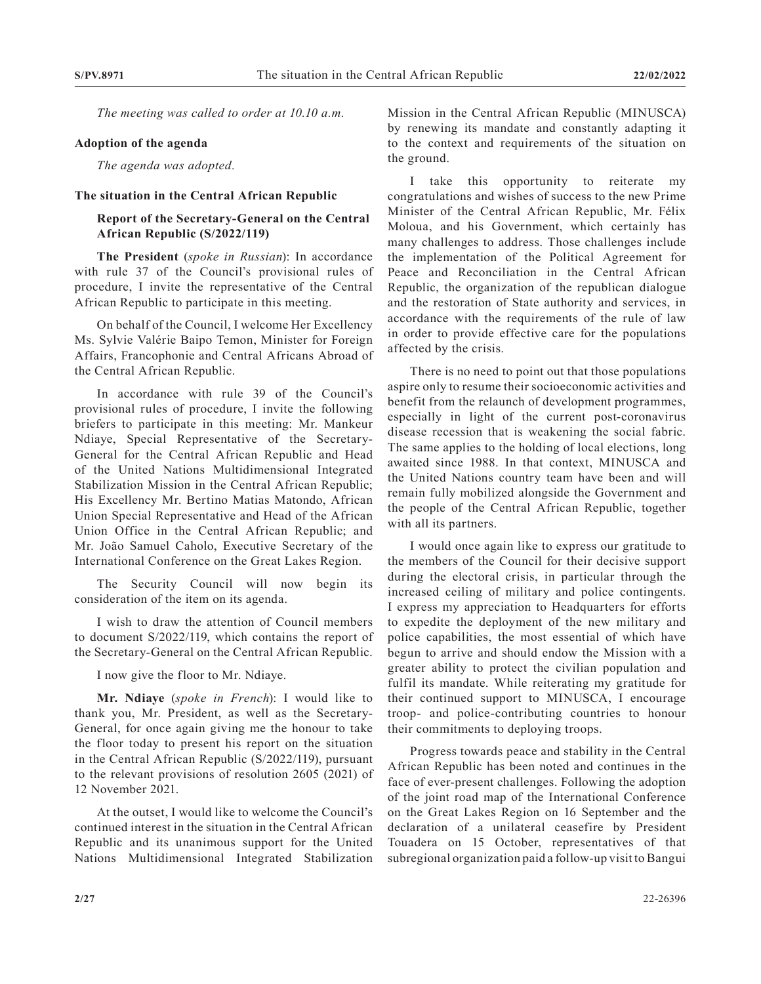*The meeting was called to order at 10.10 a.m.*

#### **Adoption of the agenda**

*The agenda was adopted.*

#### **The situation in the Central African Republic**

### **Report of the Secretary-General on the Central African Republic (S/2022/119)**

**The President** (*spoke in Russian*): In accordance with rule 37 of the Council's provisional rules of procedure, I invite the representative of the Central African Republic to participate in this meeting.

On behalf of the Council, I welcome Her Excellency Ms. Sylvie Valérie Baipo Temon, Minister for Foreign Affairs, Francophonie and Central Africans Abroad of the Central African Republic.

In accordance with rule 39 of the Council's provisional rules of procedure, I invite the following briefers to participate in this meeting: Mr. Mankeur Ndiaye, Special Representative of the Secretary-General for the Central African Republic and Head of the United Nations Multidimensional Integrated Stabilization Mission in the Central African Republic; His Excellency Mr. Bertino Matias Matondo, African Union Special Representative and Head of the African Union Office in the Central African Republic; and Mr. João Samuel Caholo, Executive Secretary of the International Conference on the Great Lakes Region.

The Security Council will now begin its consideration of the item on its agenda.

I wish to draw the attention of Council members to document S/2022/119, which contains the report of the Secretary-General on the Central African Republic.

I now give the floor to Mr. Ndiaye.

**Mr. Ndiaye** (*spoke in French*): I would like to thank you, Mr. President, as well as the Secretary-General, for once again giving me the honour to take the floor today to present his report on the situation in the Central African Republic (S/2022/119), pursuant to the relevant provisions of resolution 2605 (2021) of 12 November 2021.

At the outset, I would like to welcome the Council's continued interest in the situation in the Central African Republic and its unanimous support for the United Nations Multidimensional Integrated Stabilization Mission in the Central African Republic (MINUSCA) by renewing its mandate and constantly adapting it to the context and requirements of the situation on the ground.

I take this opportunity to reiterate my congratulations and wishes of success to the new Prime Minister of the Central African Republic, Mr. Félix Moloua, and his Government, which certainly has many challenges to address. Those challenges include the implementation of the Political Agreement for Peace and Reconciliation in the Central African Republic, the organization of the republican dialogue and the restoration of State authority and services, in accordance with the requirements of the rule of law in order to provide effective care for the populations affected by the crisis.

There is no need to point out that those populations aspire only to resume their socioeconomic activities and benefit from the relaunch of development programmes, especially in light of the current post-coronavirus disease recession that is weakening the social fabric. The same applies to the holding of local elections, long awaited since 1988. In that context, MINUSCA and the United Nations country team have been and will remain fully mobilized alongside the Government and the people of the Central African Republic, together with all its partners.

I would once again like to express our gratitude to the members of the Council for their decisive support during the electoral crisis, in particular through the increased ceiling of military and police contingents. I express my appreciation to Headquarters for efforts to expedite the deployment of the new military and police capabilities, the most essential of which have begun to arrive and should endow the Mission with a greater ability to protect the civilian population and fulfil its mandate. While reiterating my gratitude for their continued support to MINUSCA, I encourage troop- and police-contributing countries to honour their commitments to deploying troops.

Progress towards peace and stability in the Central African Republic has been noted and continues in the face of ever-present challenges. Following the adoption of the joint road map of the International Conference on the Great Lakes Region on 16 September and the declaration of a unilateral ceasefire by President Touadera on 15 October, representatives of that subregional organization paid a follow-up visit to Bangui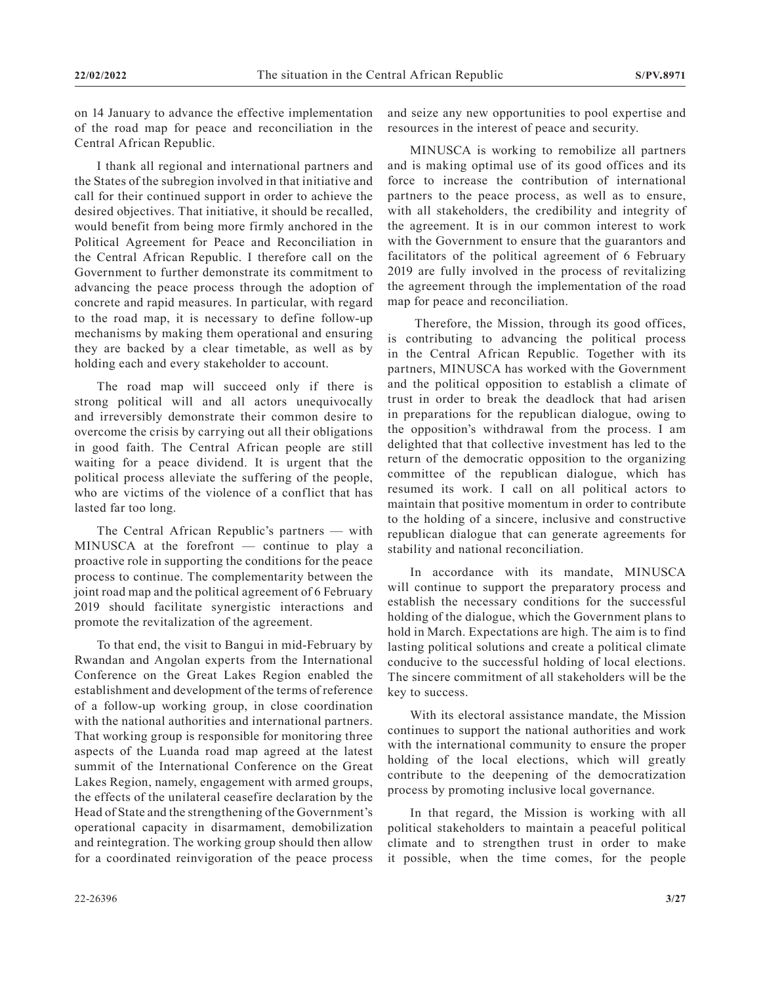on 14 January to advance the effective implementation of the road map for peace and reconciliation in the Central African Republic.

I thank all regional and international partners and the States of the subregion involved in that initiative and call for their continued support in order to achieve the desired objectives. That initiative, it should be recalled, would benefit from being more firmly anchored in the Political Agreement for Peace and Reconciliation in the Central African Republic. I therefore call on the Government to further demonstrate its commitment to advancing the peace process through the adoption of concrete and rapid measures. In particular, with regard to the road map, it is necessary to define follow-up mechanisms by making them operational and ensuring they are backed by a clear timetable, as well as by holding each and every stakeholder to account.

The road map will succeed only if there is strong political will and all actors unequivocally and irreversibly demonstrate their common desire to overcome the crisis by carrying out all their obligations in good faith. The Central African people are still waiting for a peace dividend. It is urgent that the political process alleviate the suffering of the people, who are victims of the violence of a conflict that has lasted far too long.

The Central African Republic's partners — with MINUSCA at the forefront — continue to play a proactive role in supporting the conditions for the peace process to continue. The complementarity between the joint road map and the political agreement of 6 February 2019 should facilitate synergistic interactions and promote the revitalization of the agreement.

To that end, the visit to Bangui in mid-February by Rwandan and Angolan experts from the International Conference on the Great Lakes Region enabled the establishment and development of the terms of reference of a follow-up working group, in close coordination with the national authorities and international partners. That working group is responsible for monitoring three aspects of the Luanda road map agreed at the latest summit of the International Conference on the Great Lakes Region, namely, engagement with armed groups, the effects of the unilateral ceasefire declaration by the Head of State and the strengthening of the Government's operational capacity in disarmament, demobilization and reintegration. The working group should then allow for a coordinated reinvigoration of the peace process

and seize any new opportunities to pool expertise and resources in the interest of peace and security.

MINUSCA is working to remobilize all partners and is making optimal use of its good offices and its force to increase the contribution of international partners to the peace process, as well as to ensure, with all stakeholders, the credibility and integrity of the agreement. It is in our common interest to work with the Government to ensure that the guarantors and facilitators of the political agreement of 6 February 2019 are fully involved in the process of revitalizing the agreement through the implementation of the road map for peace and reconciliation.

 Therefore, the Mission, through its good offices, is contributing to advancing the political process in the Central African Republic. Together with its partners, MINUSCA has worked with the Government and the political opposition to establish a climate of trust in order to break the deadlock that had arisen in preparations for the republican dialogue, owing to the opposition's withdrawal from the process. I am delighted that that collective investment has led to the return of the democratic opposition to the organizing committee of the republican dialogue, which has resumed its work. I call on all political actors to maintain that positive momentum in order to contribute to the holding of a sincere, inclusive and constructive republican dialogue that can generate agreements for stability and national reconciliation.

In accordance with its mandate, MINUSCA will continue to support the preparatory process and establish the necessary conditions for the successful holding of the dialogue, which the Government plans to hold in March. Expectations are high. The aim is to find lasting political solutions and create a political climate conducive to the successful holding of local elections. The sincere commitment of all stakeholders will be the key to success.

With its electoral assistance mandate, the Mission continues to support the national authorities and work with the international community to ensure the proper holding of the local elections, which will greatly contribute to the deepening of the democratization process by promoting inclusive local governance.

In that regard, the Mission is working with all political stakeholders to maintain a peaceful political climate and to strengthen trust in order to make it possible, when the time comes, for the people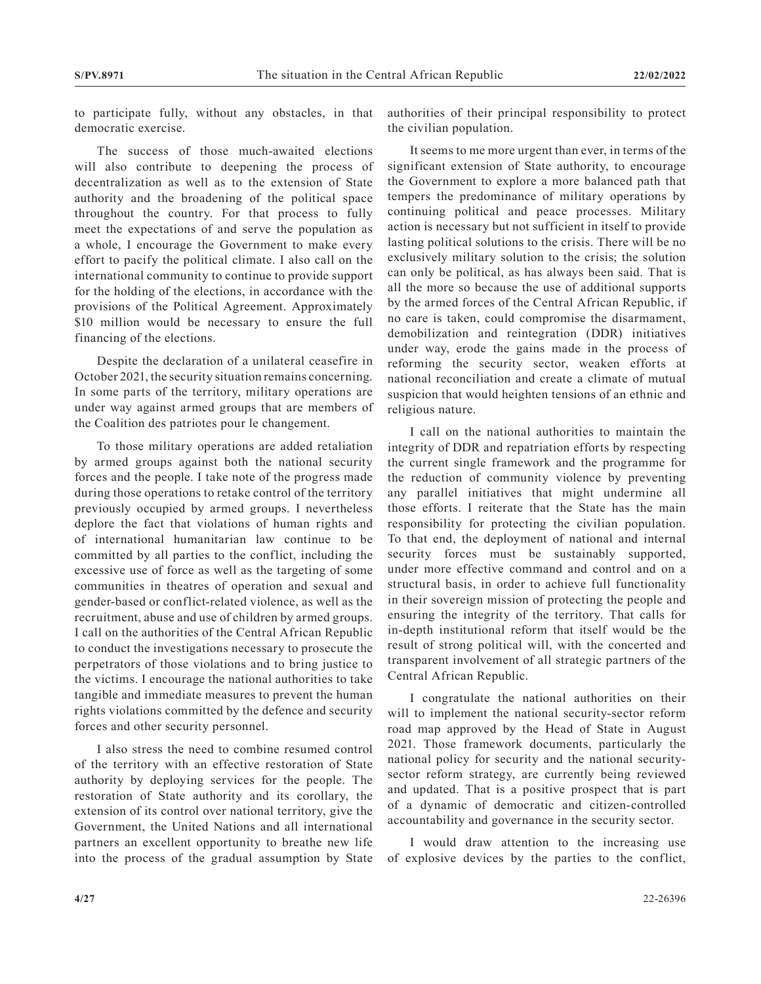to participate fully, without any obstacles, in that democratic exercise.

The success of those much-awaited elections will also contribute to deepening the process of decentralization as well as to the extension of State authority and the broadening of the political space throughout the country. For that process to fully meet the expectations of and serve the population as a whole, I encourage the Government to make every effort to pacify the political climate. I also call on the international community to continue to provide support for the holding of the elections, in accordance with the provisions of the Political Agreement. Approximately \$10 million would be necessary to ensure the full financing of the elections.

Despite the declaration of a unilateral ceasefire in October 2021, the security situation remains concerning. In some parts of the territory, military operations are under way against armed groups that are members of the Coalition des patriotes pour le changement.

To those military operations are added retaliation by armed groups against both the national security forces and the people. I take note of the progress made during those operations to retake control of the territory previously occupied by armed groups. I nevertheless deplore the fact that violations of human rights and of international humanitarian law continue to be committed by all parties to the conflict, including the excessive use of force as well as the targeting of some communities in theatres of operation and sexual and gender-based or conflict-related violence, as well as the recruitment, abuse and use of children by armed groups. I call on the authorities of the Central African Republic to conduct the investigations necessary to prosecute the perpetrators of those violations and to bring justice to the victims. I encourage the national authorities to take tangible and immediate measures to prevent the human rights violations committed by the defence and security forces and other security personnel.

I also stress the need to combine resumed control of the territory with an effective restoration of State authority by deploying services for the people. The restoration of State authority and its corollary, the extension of its control over national territory, give the Government, the United Nations and all international partners an excellent opportunity to breathe new life into the process of the gradual assumption by State authorities of their principal responsibility to protect the civilian population.

It seems to me more urgent than ever, in terms of the significant extension of State authority, to encourage the Government to explore a more balanced path that tempers the predominance of military operations by continuing political and peace processes. Military action is necessary but not sufficient in itself to provide lasting political solutions to the crisis. There will be no exclusively military solution to the crisis; the solution can only be political, as has always been said. That is all the more so because the use of additional supports by the armed forces of the Central African Republic, if no care is taken, could compromise the disarmament, demobilization and reintegration (DDR) initiatives under way, erode the gains made in the process of reforming the security sector, weaken efforts at national reconciliation and create a climate of mutual suspicion that would heighten tensions of an ethnic and religious nature.

I call on the national authorities to maintain the integrity of DDR and repatriation efforts by respecting the current single framework and the programme for the reduction of community violence by preventing any parallel initiatives that might undermine all those efforts. I reiterate that the State has the main responsibility for protecting the civilian population. To that end, the deployment of national and internal security forces must be sustainably supported, under more effective command and control and on a structural basis, in order to achieve full functionality in their sovereign mission of protecting the people and ensuring the integrity of the territory. That calls for in-depth institutional reform that itself would be the result of strong political will, with the concerted and transparent involvement of all strategic partners of the Central African Republic.

I congratulate the national authorities on their will to implement the national security-sector reform road map approved by the Head of State in August 2021. Those framework documents, particularly the national policy for security and the national securitysector reform strategy, are currently being reviewed and updated. That is a positive prospect that is part of a dynamic of democratic and citizen-controlled accountability and governance in the security sector.

I would draw attention to the increasing use of explosive devices by the parties to the conflict,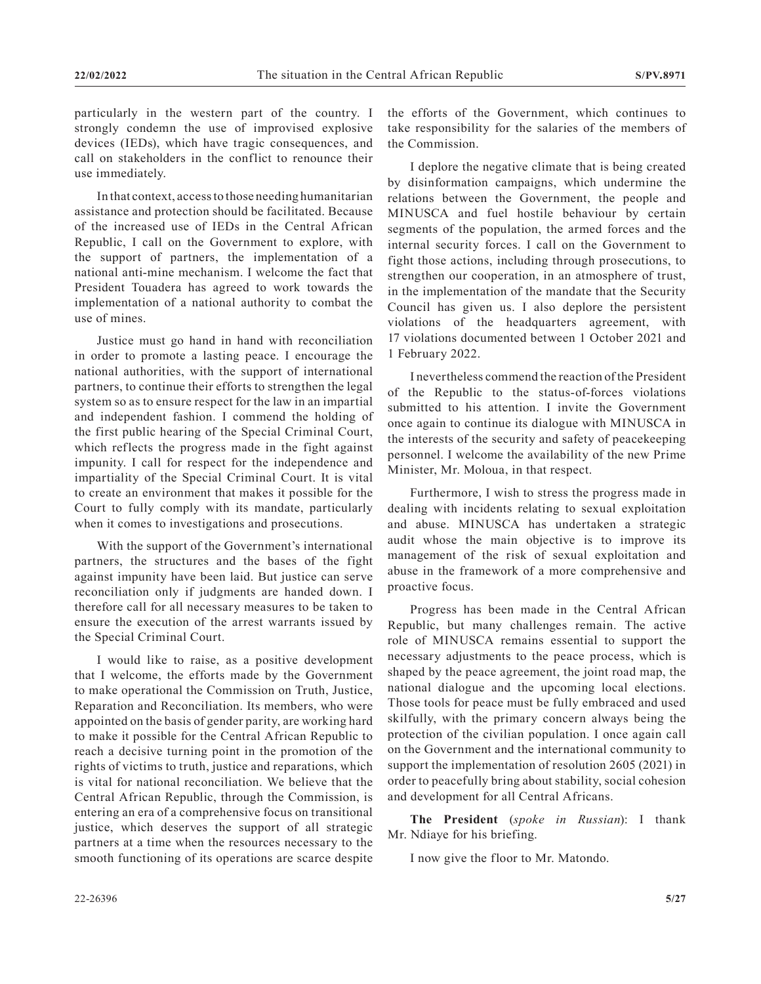particularly in the western part of the country. I strongly condemn the use of improvised explosive devices (IEDs), which have tragic consequences, and call on stakeholders in the conflict to renounce their use immediately.

In that context, access to those needing humanitarian assistance and protection should be facilitated. Because of the increased use of IEDs in the Central African Republic, I call on the Government to explore, with the support of partners, the implementation of a national anti-mine mechanism. I welcome the fact that President Touadera has agreed to work towards the implementation of a national authority to combat the use of mines.

Justice must go hand in hand with reconciliation in order to promote a lasting peace. I encourage the national authorities, with the support of international partners, to continue their efforts to strengthen the legal system so as to ensure respect for the law in an impartial and independent fashion. I commend the holding of the first public hearing of the Special Criminal Court, which reflects the progress made in the fight against impunity. I call for respect for the independence and impartiality of the Special Criminal Court. It is vital to create an environment that makes it possible for the Court to fully comply with its mandate, particularly when it comes to investigations and prosecutions.

With the support of the Government's international partners, the structures and the bases of the fight against impunity have been laid. But justice can serve reconciliation only if judgments are handed down. I therefore call for all necessary measures to be taken to ensure the execution of the arrest warrants issued by the Special Criminal Court.

I would like to raise, as a positive development that I welcome, the efforts made by the Government to make operational the Commission on Truth, Justice, Reparation and Reconciliation. Its members, who were appointed on the basis of gender parity, are working hard to make it possible for the Central African Republic to reach a decisive turning point in the promotion of the rights of victims to truth, justice and reparations, which is vital for national reconciliation. We believe that the Central African Republic, through the Commission, is entering an era of a comprehensive focus on transitional justice, which deserves the support of all strategic partners at a time when the resources necessary to the smooth functioning of its operations are scarce despite the efforts of the Government, which continues to take responsibility for the salaries of the members of the Commission.

I deplore the negative climate that is being created by disinformation campaigns, which undermine the relations between the Government, the people and MINUSCA and fuel hostile behaviour by certain segments of the population, the armed forces and the internal security forces. I call on the Government to fight those actions, including through prosecutions, to strengthen our cooperation, in an atmosphere of trust, in the implementation of the mandate that the Security Council has given us. I also deplore the persistent violations of the headquarters agreement, with 17 violations documented between 1 October 2021 and 1 February 2022.

I nevertheless commend the reaction of the President of the Republic to the status-of-forces violations submitted to his attention. I invite the Government once again to continue its dialogue with MINUSCA in the interests of the security and safety of peacekeeping personnel. I welcome the availability of the new Prime Minister, Mr. Moloua, in that respect.

Furthermore, I wish to stress the progress made in dealing with incidents relating to sexual exploitation and abuse. MINUSCA has undertaken a strategic audit whose the main objective is to improve its management of the risk of sexual exploitation and abuse in the framework of a more comprehensive and proactive focus.

Progress has been made in the Central African Republic, but many challenges remain. The active role of MINUSCA remains essential to support the necessary adjustments to the peace process, which is shaped by the peace agreement, the joint road map, the national dialogue and the upcoming local elections. Those tools for peace must be fully embraced and used skilfully, with the primary concern always being the protection of the civilian population. I once again call on the Government and the international community to support the implementation of resolution 2605 (2021) in order to peacefully bring about stability, social cohesion and development for all Central Africans.

**The President** (*spoke in Russian*): I thank Mr. Ndiaye for his briefing.

I now give the floor to Mr. Matondo.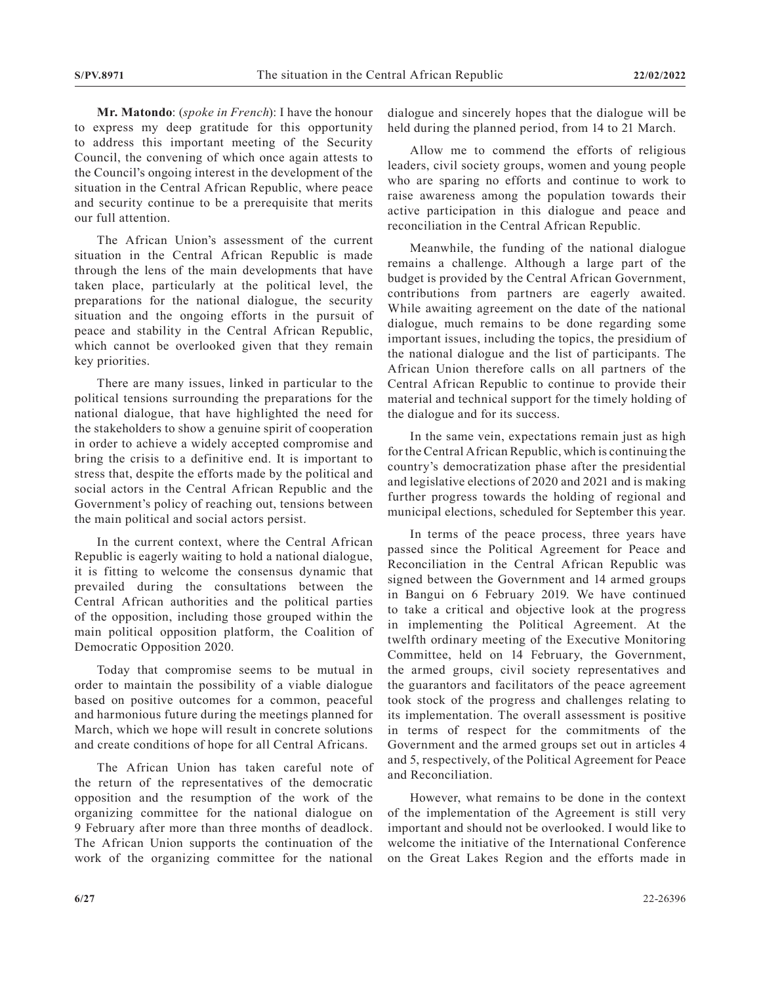**Mr. Matondo**: (*spoke in French*): I have the honour to express my deep gratitude for this opportunity to address this important meeting of the Security Council, the convening of which once again attests to the Council's ongoing interest in the development of the situation in the Central African Republic, where peace and security continue to be a prerequisite that merits our full attention.

The African Union's assessment of the current situation in the Central African Republic is made through the lens of the main developments that have taken place, particularly at the political level, the preparations for the national dialogue, the security situation and the ongoing efforts in the pursuit of peace and stability in the Central African Republic, which cannot be overlooked given that they remain key priorities.

There are many issues, linked in particular to the political tensions surrounding the preparations for the national dialogue, that have highlighted the need for the stakeholders to show a genuine spirit of cooperation in order to achieve a widely accepted compromise and bring the crisis to a definitive end. It is important to stress that, despite the efforts made by the political and social actors in the Central African Republic and the Government's policy of reaching out, tensions between the main political and social actors persist.

In the current context, where the Central African Republic is eagerly waiting to hold a national dialogue, it is fitting to welcome the consensus dynamic that prevailed during the consultations between the Central African authorities and the political parties of the opposition, including those grouped within the main political opposition platform, the Coalition of Democratic Opposition 2020.

Today that compromise seems to be mutual in order to maintain the possibility of a viable dialogue based on positive outcomes for a common, peaceful and harmonious future during the meetings planned for March, which we hope will result in concrete solutions and create conditions of hope for all Central Africans.

The African Union has taken careful note of the return of the representatives of the democratic opposition and the resumption of the work of the organizing committee for the national dialogue on 9 February after more than three months of deadlock. The African Union supports the continuation of the work of the organizing committee for the national

dialogue and sincerely hopes that the dialogue will be held during the planned period, from 14 to 21 March.

Allow me to commend the efforts of religious leaders, civil society groups, women and young people who are sparing no efforts and continue to work to raise awareness among the population towards their active participation in this dialogue and peace and reconciliation in the Central African Republic.

Meanwhile, the funding of the national dialogue remains a challenge. Although a large part of the budget is provided by the Central African Government, contributions from partners are eagerly awaited. While awaiting agreement on the date of the national dialogue, much remains to be done regarding some important issues, including the topics, the presidium of the national dialogue and the list of participants. The African Union therefore calls on all partners of the Central African Republic to continue to provide their material and technical support for the timely holding of the dialogue and for its success.

In the same vein, expectations remain just as high for the Central African Republic, which is continuing the country's democratization phase after the presidential and legislative elections of 2020 and 2021 and is making further progress towards the holding of regional and municipal elections, scheduled for September this year.

In terms of the peace process, three years have passed since the Political Agreement for Peace and Reconciliation in the Central African Republic was signed between the Government and 14 armed groups in Bangui on 6 February 2019. We have continued to take a critical and objective look at the progress in implementing the Political Agreement. At the twelfth ordinary meeting of the Executive Monitoring Committee, held on 14 February, the Government, the armed groups, civil society representatives and the guarantors and facilitators of the peace agreement took stock of the progress and challenges relating to its implementation. The overall assessment is positive in terms of respect for the commitments of the Government and the armed groups set out in articles 4 and 5, respectively, of the Political Agreement for Peace and Reconciliation.

However, what remains to be done in the context of the implementation of the Agreement is still very important and should not be overlooked. I would like to welcome the initiative of the International Conference on the Great Lakes Region and the efforts made in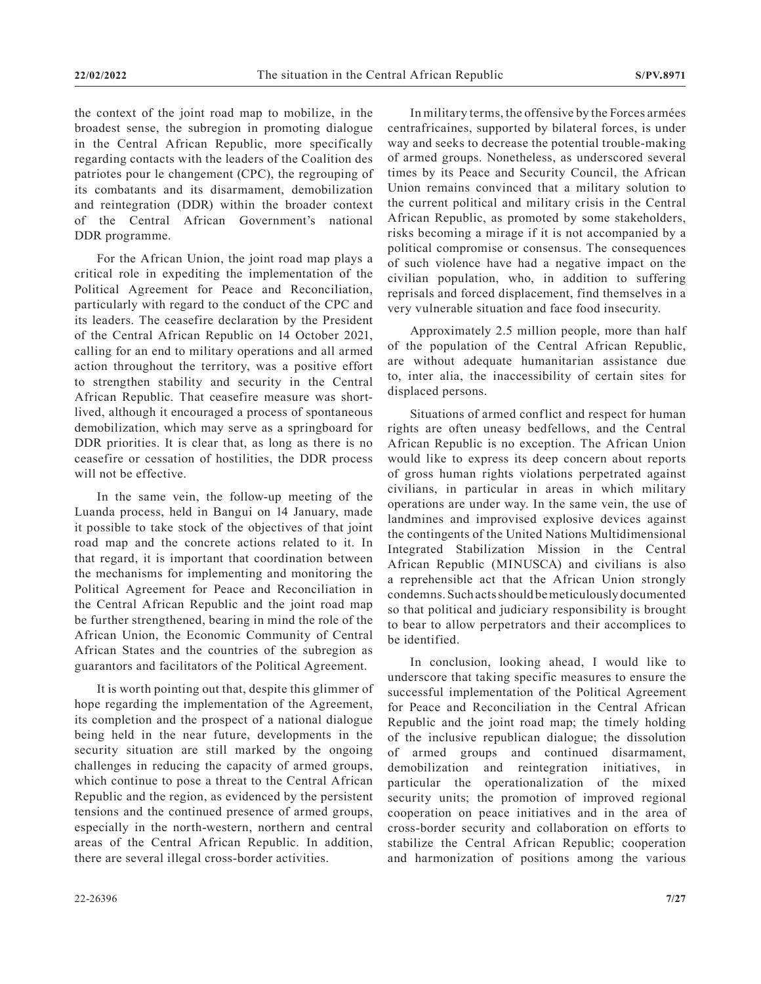the context of the joint road map to mobilize, in the broadest sense, the subregion in promoting dialogue in the Central African Republic, more specifically regarding contacts with the leaders of the Coalition des patriotes pour le changement (CPC), the regrouping of its combatants and its disarmament, demobilization and reintegration (DDR) within the broader context of the Central African Government's national DDR programme.

For the African Union, the joint road map plays a critical role in expediting the implementation of the Political Agreement for Peace and Reconciliation, particularly with regard to the conduct of the CPC and its leaders. The ceasefire declaration by the President of the Central African Republic on 14 October 2021, calling for an end to military operations and all armed action throughout the territory, was a positive effort to strengthen stability and security in the Central African Republic. That ceasefire measure was shortlived, although it encouraged a process of spontaneous demobilization, which may serve as a springboard for DDR priorities. It is clear that, as long as there is no ceasefire or cessation of hostilities, the DDR process will not be effective.

In the same vein, the follow-up meeting of the Luanda process, held in Bangui on 14 January, made it possible to take stock of the objectives of that joint road map and the concrete actions related to it. In that regard, it is important that coordination between the mechanisms for implementing and monitoring the Political Agreement for Peace and Reconciliation in the Central African Republic and the joint road map be further strengthened, bearing in mind the role of the African Union, the Economic Community of Central African States and the countries of the subregion as guarantors and facilitators of the Political Agreement.

It is worth pointing out that, despite this glimmer of hope regarding the implementation of the Agreement, its completion and the prospect of a national dialogue being held in the near future, developments in the security situation are still marked by the ongoing challenges in reducing the capacity of armed groups, which continue to pose a threat to the Central African Republic and the region, as evidenced by the persistent tensions and the continued presence of armed groups, especially in the north-western, northern and central areas of the Central African Republic. In addition, there are several illegal cross-border activities.

In military terms, the offensive by the Forces armées centrafricaines, supported by bilateral forces, is under way and seeks to decrease the potential trouble-making of armed groups. Nonetheless, as underscored several times by its Peace and Security Council, the African Union remains convinced that a military solution to the current political and military crisis in the Central African Republic, as promoted by some stakeholders, risks becoming a mirage if it is not accompanied by a political compromise or consensus. The consequences of such violence have had a negative impact on the civilian population, who, in addition to suffering reprisals and forced displacement, find themselves in a very vulnerable situation and face food insecurity.

Approximately 2.5 million people, more than half of the population of the Central African Republic, are without adequate humanitarian assistance due to, inter alia, the inaccessibility of certain sites for displaced persons.

Situations of armed conflict and respect for human rights are often uneasy bedfellows, and the Central African Republic is no exception. The African Union would like to express its deep concern about reports of gross human rights violations perpetrated against civilians, in particular in areas in which military operations are under way. In the same vein, the use of landmines and improvised explosive devices against the contingents of the United Nations Multidimensional Integrated Stabilization Mission in the Central African Republic (MINUSCA) and civilians is also a reprehensible act that the African Union strongly condemns. Such acts should be meticulously documented so that political and judiciary responsibility is brought to bear to allow perpetrators and their accomplices to be identified.

In conclusion, looking ahead, I would like to underscore that taking specific measures to ensure the successful implementation of the Political Agreement for Peace and Reconciliation in the Central African Republic and the joint road map; the timely holding of the inclusive republican dialogue; the dissolution of armed groups and continued disarmament, demobilization and reintegration initiatives, in particular the operationalization of the mixed security units; the promotion of improved regional cooperation on peace initiatives and in the area of cross-border security and collaboration on efforts to stabilize the Central African Republic; cooperation and harmonization of positions among the various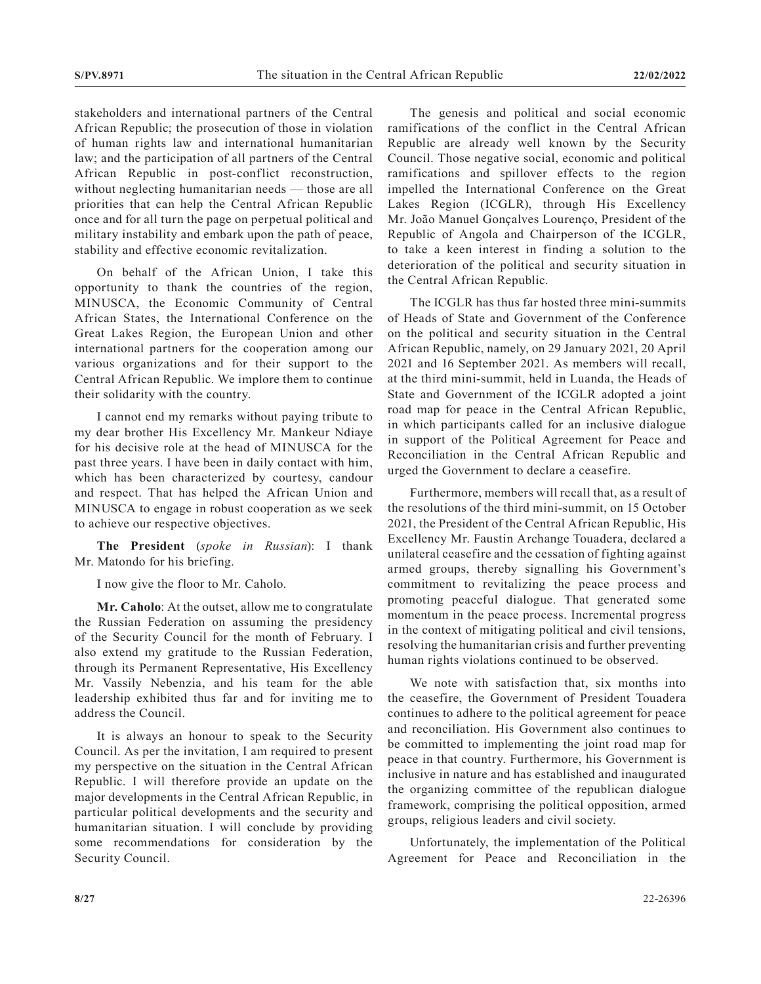stakeholders and international partners of the Central African Republic; the prosecution of those in violation of human rights law and international humanitarian law; and the participation of all partners of the Central African Republic in post-conflict reconstruction, without neglecting humanitarian needs — those are all priorities that can help the Central African Republic once and for all turn the page on perpetual political and military instability and embark upon the path of peace, stability and effective economic revitalization.

On behalf of the African Union, I take this opportunity to thank the countries of the region, MINUSCA, the Economic Community of Central African States, the International Conference on the Great Lakes Region, the European Union and other international partners for the cooperation among our various organizations and for their support to the Central African Republic. We implore them to continue their solidarity with the country.

I cannot end my remarks without paying tribute to my dear brother His Excellency Mr. Mankeur Ndiaye for his decisive role at the head of MINUSCA for the past three years. I have been in daily contact with him, which has been characterized by courtesy, candour and respect. That has helped the African Union and MINUSCA to engage in robust cooperation as we seek to achieve our respective objectives.

**The President** (*spoke in Russian*): I thank Mr. Matondo for his briefing.

I now give the floor to Mr. Caholo.

**Mr. Caholo**: At the outset, allow me to congratulate the Russian Federation on assuming the presidency of the Security Council for the month of February. I also extend my gratitude to the Russian Federation, through its Permanent Representative, His Excellency Mr. Vassily Nebenzia, and his team for the able leadership exhibited thus far and for inviting me to address the Council.

It is always an honour to speak to the Security Council. As per the invitation, I am required to present my perspective on the situation in the Central African Republic. I will therefore provide an update on the major developments in the Central African Republic, in particular political developments and the security and humanitarian situation. I will conclude by providing some recommendations for consideration by the Security Council.

The genesis and political and social economic ramifications of the conflict in the Central African Republic are already well known by the Security Council. Those negative social, economic and political ramifications and spillover effects to the region impelled the International Conference on the Great Lakes Region (ICGLR), through His Excellency Mr. João Manuel Gonçalves Lourenço, President of the Republic of Angola and Chairperson of the ICGLR, to take a keen interest in finding a solution to the deterioration of the political and security situation in the Central African Republic.

The ICGLR has thus far hosted three mini-summits of Heads of State and Government of the Conference on the political and security situation in the Central African Republic, namely, on 29 January 2021, 20 April 2021 and 16 September 2021. As members will recall, at the third mini-summit, held in Luanda, the Heads of State and Government of the ICGLR adopted a joint road map for peace in the Central African Republic, in which participants called for an inclusive dialogue in support of the Political Agreement for Peace and Reconciliation in the Central African Republic and urged the Government to declare a ceasefire.

Furthermore, members will recall that, as a result of the resolutions of the third mini-summit, on 15 October 2021, the President of the Central African Republic, His Excellency Mr. Faustin Archange Touadera, declared a unilateral ceasefire and the cessation of fighting against armed groups, thereby signalling his Government's commitment to revitalizing the peace process and promoting peaceful dialogue. That generated some momentum in the peace process. Incremental progress in the context of mitigating political and civil tensions, resolving the humanitarian crisis and further preventing human rights violations continued to be observed.

We note with satisfaction that, six months into the ceasefire, the Government of President Touadera continues to adhere to the political agreement for peace and reconciliation. His Government also continues to be committed to implementing the joint road map for peace in that country. Furthermore, his Government is inclusive in nature and has established and inaugurated the organizing committee of the republican dialogue framework, comprising the political opposition, armed groups, religious leaders and civil society.

Unfortunately, the implementation of the Political Agreement for Peace and Reconciliation in the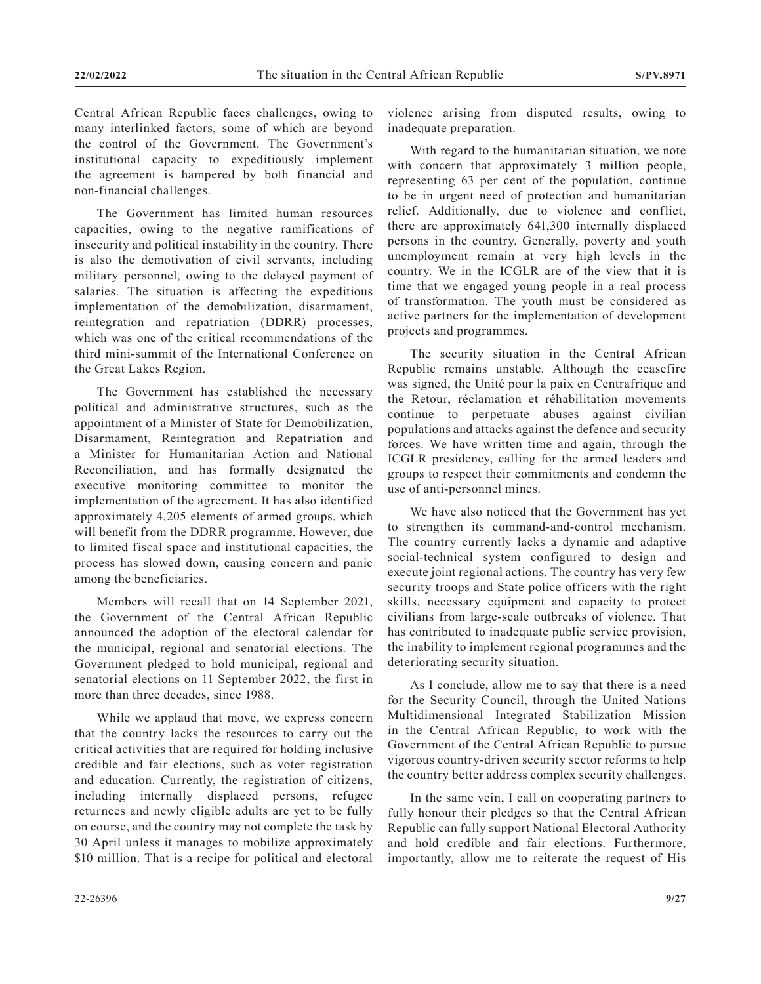Central African Republic faces challenges, owing to many interlinked factors, some of which are beyond the control of the Government. The Government's institutional capacity to expeditiously implement the agreement is hampered by both financial and non-financial challenges.

The Government has limited human resources capacities, owing to the negative ramifications of insecurity and political instability in the country. There is also the demotivation of civil servants, including military personnel, owing to the delayed payment of salaries. The situation is affecting the expeditious implementation of the demobilization, disarmament, reintegration and repatriation (DDRR) processes, which was one of the critical recommendations of the third mini-summit of the International Conference on the Great Lakes Region.

The Government has established the necessary political and administrative structures, such as the appointment of a Minister of State for Demobilization, Disarmament, Reintegration and Repatriation and a Minister for Humanitarian Action and National Reconciliation, and has formally designated the executive monitoring committee to monitor the implementation of the agreement. It has also identified approximately 4,205 elements of armed groups, which will benefit from the DDRR programme. However, due to limited fiscal space and institutional capacities, the process has slowed down, causing concern and panic among the beneficiaries.

Members will recall that on 14 September 2021, the Government of the Central African Republic announced the adoption of the electoral calendar for the municipal, regional and senatorial elections. The Government pledged to hold municipal, regional and senatorial elections on 11 September 2022, the first in more than three decades, since 1988.

While we applaud that move, we express concern that the country lacks the resources to carry out the critical activities that are required for holding inclusive credible and fair elections, such as voter registration and education. Currently, the registration of citizens, including internally displaced persons, refugee returnees and newly eligible adults are yet to be fully on course, and the country may not complete the task by 30 April unless it manages to mobilize approximately \$10 million. That is a recipe for political and electoral

With regard to the humanitarian situation, we note with concern that approximately 3 million people,

inadequate preparation.

representing 63 per cent of the population, continue to be in urgent need of protection and humanitarian relief. Additionally, due to violence and conflict, there are approximately 641,300 internally displaced persons in the country. Generally, poverty and youth unemployment remain at very high levels in the country. We in the ICGLR are of the view that it is time that we engaged young people in a real process of transformation. The youth must be considered as active partners for the implementation of development projects and programmes.

violence arising from disputed results, owing to

The security situation in the Central African Republic remains unstable. Although the ceasefire was signed, the Unité pour la paix en Centrafrique and the Retour, réclamation et réhabilitation movements continue to perpetuate abuses against civilian populations and attacks against the defence and security forces. We have written time and again, through the ICGLR presidency, calling for the armed leaders and groups to respect their commitments and condemn the use of anti-personnel mines.

We have also noticed that the Government has yet to strengthen its command-and-control mechanism. The country currently lacks a dynamic and adaptive social-technical system configured to design and execute joint regional actions. The country has very few security troops and State police officers with the right skills, necessary equipment and capacity to protect civilians from large-scale outbreaks of violence. That has contributed to inadequate public service provision, the inability to implement regional programmes and the deteriorating security situation.

As I conclude, allow me to say that there is a need for the Security Council, through the United Nations Multidimensional Integrated Stabilization Mission in the Central African Republic, to work with the Government of the Central African Republic to pursue vigorous country-driven security sector reforms to help the country better address complex security challenges.

In the same vein, I call on cooperating partners to fully honour their pledges so that the Central African Republic can fully support National Electoral Authority and hold credible and fair elections. Furthermore, importantly, allow me to reiterate the request of His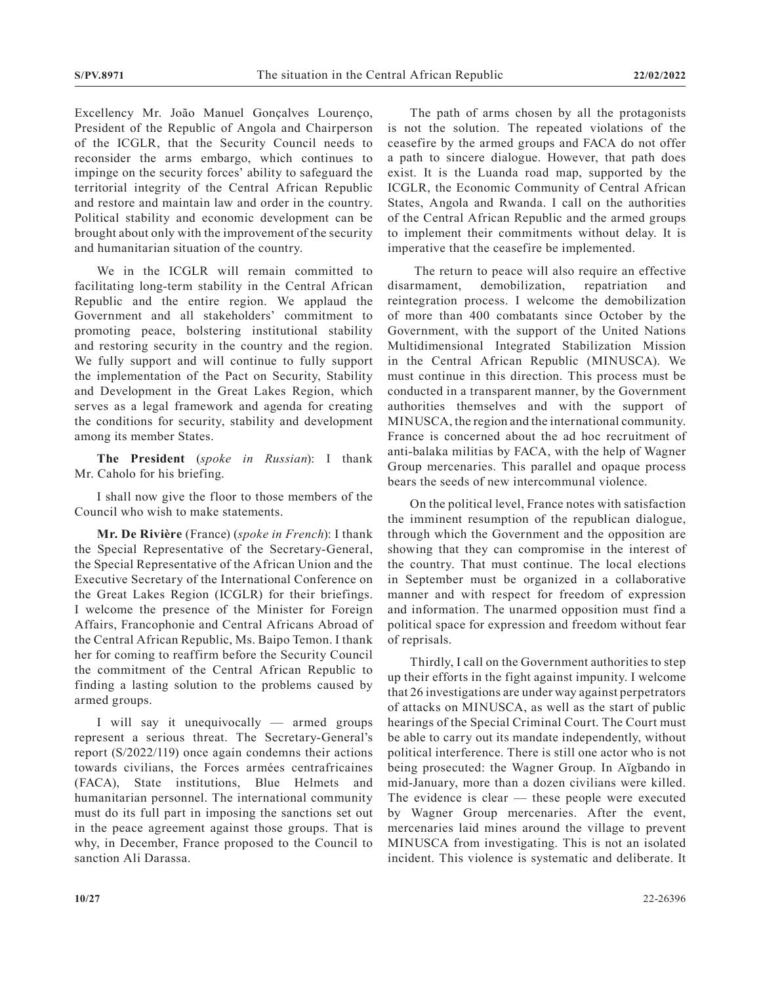Excellency Mr. João Manuel Gonçalves Lourenço, President of the Republic of Angola and Chairperson of the ICGLR, that the Security Council needs to reconsider the arms embargo, which continues to impinge on the security forces' ability to safeguard the territorial integrity of the Central African Republic and restore and maintain law and order in the country. Political stability and economic development can be brought about only with the improvement of the security and humanitarian situation of the country.

We in the ICGLR will remain committed to facilitating long-term stability in the Central African Republic and the entire region. We applaud the Government and all stakeholders' commitment to promoting peace, bolstering institutional stability and restoring security in the country and the region. We fully support and will continue to fully support the implementation of the Pact on Security, Stability and Development in the Great Lakes Region, which serves as a legal framework and agenda for creating the conditions for security, stability and development among its member States.

**The President** (*spoke in Russian*): I thank Mr. Caholo for his briefing.

I shall now give the floor to those members of the Council who wish to make statements.

**Mr. De Rivière** (France) (*spoke in French*): I thank the Special Representative of the Secretary-General, the Special Representative of the African Union and the Executive Secretary of the International Conference on the Great Lakes Region (ICGLR) for their briefings. I welcome the presence of the Minister for Foreign Affairs, Francophonie and Central Africans Abroad of the Central African Republic, Ms. Baipo Temon. I thank her for coming to reaffirm before the Security Council the commitment of the Central African Republic to finding a lasting solution to the problems caused by armed groups.

I will say it unequivocally — armed groups represent a serious threat. The Secretary-General's report (S/2022/119) once again condemns their actions towards civilians, the Forces armées centrafricaines (FACA), State institutions, Blue Helmets and humanitarian personnel. The international community must do its full part in imposing the sanctions set out in the peace agreement against those groups. That is why, in December, France proposed to the Council to sanction Ali Darassa.

The path of arms chosen by all the protagonists is not the solution. The repeated violations of the ceasefire by the armed groups and FACA do not offer a path to sincere dialogue. However, that path does exist. It is the Luanda road map, supported by the ICGLR, the Economic Community of Central African States, Angola and Rwanda. I call on the authorities of the Central African Republic and the armed groups to implement their commitments without delay. It is imperative that the ceasefire be implemented.

 The return to peace will also require an effective disarmament, demobilization, repatriation and reintegration process. I welcome the demobilization of more than 400 combatants since October by the Government, with the support of the United Nations Multidimensional Integrated Stabilization Mission in the Central African Republic (MINUSCA). We must continue in this direction. This process must be conducted in a transparent manner, by the Government authorities themselves and with the support of MINUSCA, the region and the international community. France is concerned about the ad hoc recruitment of anti-balaka militias by FACA, with the help of Wagner Group mercenaries. This parallel and opaque process bears the seeds of new intercommunal violence.

On the political level, France notes with satisfaction the imminent resumption of the republican dialogue, through which the Government and the opposition are showing that they can compromise in the interest of the country. That must continue. The local elections in September must be organized in a collaborative manner and with respect for freedom of expression and information. The unarmed opposition must find a political space for expression and freedom without fear of reprisals.

Thirdly, I call on the Government authorities to step up their efforts in the fight against impunity. I welcome that 26 investigations are under way against perpetrators of attacks on MINUSCA, as well as the start of public hearings of the Special Criminal Court. The Court must be able to carry out its mandate independently, without political interference. There is still one actor who is not being prosecuted: the Wagner Group. In Aïgbando in mid-January, more than a dozen civilians were killed. The evidence is clear — these people were executed by Wagner Group mercenaries. After the event, mercenaries laid mines around the village to prevent MINUSCA from investigating. This is not an isolated incident. This violence is systematic and deliberate. It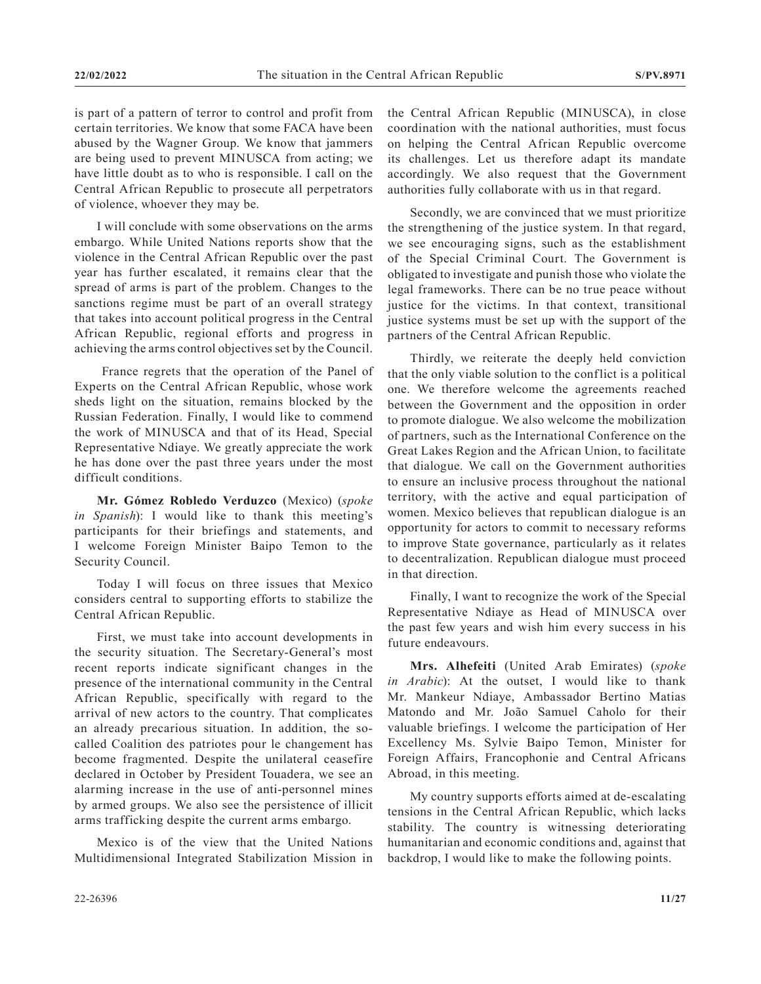is part of a pattern of terror to control and profit from certain territories. We know that some FACA have been abused by the Wagner Group. We know that jammers are being used to prevent MINUSCA from acting; we have little doubt as to who is responsible. I call on the Central African Republic to prosecute all perpetrators of violence, whoever they may be.

I will conclude with some observations on the arms embargo. While United Nations reports show that the violence in the Central African Republic over the past year has further escalated, it remains clear that the spread of arms is part of the problem. Changes to the sanctions regime must be part of an overall strategy that takes into account political progress in the Central African Republic, regional efforts and progress in achieving the arms control objectives set by the Council.

 France regrets that the operation of the Panel of Experts on the Central African Republic, whose work sheds light on the situation, remains blocked by the Russian Federation. Finally, I would like to commend the work of MINUSCA and that of its Head, Special Representative Ndiaye. We greatly appreciate the work he has done over the past three years under the most difficult conditions.

**Mr. Gómez Robledo Verduzco** (Mexico) (*spoke in Spanish*): I would like to thank this meeting's participants for their briefings and statements, and I welcome Foreign Minister Baipo Temon to the Security Council.

Today I will focus on three issues that Mexico considers central to supporting efforts to stabilize the Central African Republic.

First, we must take into account developments in the security situation. The Secretary-General's most recent reports indicate significant changes in the presence of the international community in the Central African Republic, specifically with regard to the arrival of new actors to the country. That complicates an already precarious situation. In addition, the socalled Coalition des patriotes pour le changement has become fragmented. Despite the unilateral ceasefire declared in October by President Touadera, we see an alarming increase in the use of anti-personnel mines by armed groups. We also see the persistence of illicit arms trafficking despite the current arms embargo.

Mexico is of the view that the United Nations Multidimensional Integrated Stabilization Mission in the Central African Republic (MINUSCA), in close coordination with the national authorities, must focus on helping the Central African Republic overcome its challenges. Let us therefore adapt its mandate accordingly. We also request that the Government authorities fully collaborate with us in that regard.

Secondly, we are convinced that we must prioritize the strengthening of the justice system. In that regard, we see encouraging signs, such as the establishment of the Special Criminal Court. The Government is obligated to investigate and punish those who violate the legal frameworks. There can be no true peace without justice for the victims. In that context, transitional justice systems must be set up with the support of the partners of the Central African Republic.

Thirdly, we reiterate the deeply held conviction that the only viable solution to the conflict is a political one. We therefore welcome the agreements reached between the Government and the opposition in order to promote dialogue. We also welcome the mobilization of partners, such as the International Conference on the Great Lakes Region and the African Union, to facilitate that dialogue. We call on the Government authorities to ensure an inclusive process throughout the national territory, with the active and equal participation of women. Mexico believes that republican dialogue is an opportunity for actors to commit to necessary reforms to improve State governance, particularly as it relates to decentralization. Republican dialogue must proceed in that direction.

Finally, I want to recognize the work of the Special Representative Ndiaye as Head of MINUSCA over the past few years and wish him every success in his future endeavours.

**Mrs. Alhefeiti** (United Arab Emirates) (*spoke in Arabic*): At the outset, I would like to thank Mr. Mankeur Ndiaye, Ambassador Bertino Matias Matondo and Mr. João Samuel Caholo for their valuable briefings. I welcome the participation of Her Excellency Ms. Sylvie Baipo Temon, Minister for Foreign Affairs, Francophonie and Central Africans Abroad, in this meeting.

My country supports efforts aimed at de-escalating tensions in the Central African Republic, which lacks stability. The country is witnessing deteriorating humanitarian and economic conditions and, against that backdrop, I would like to make the following points.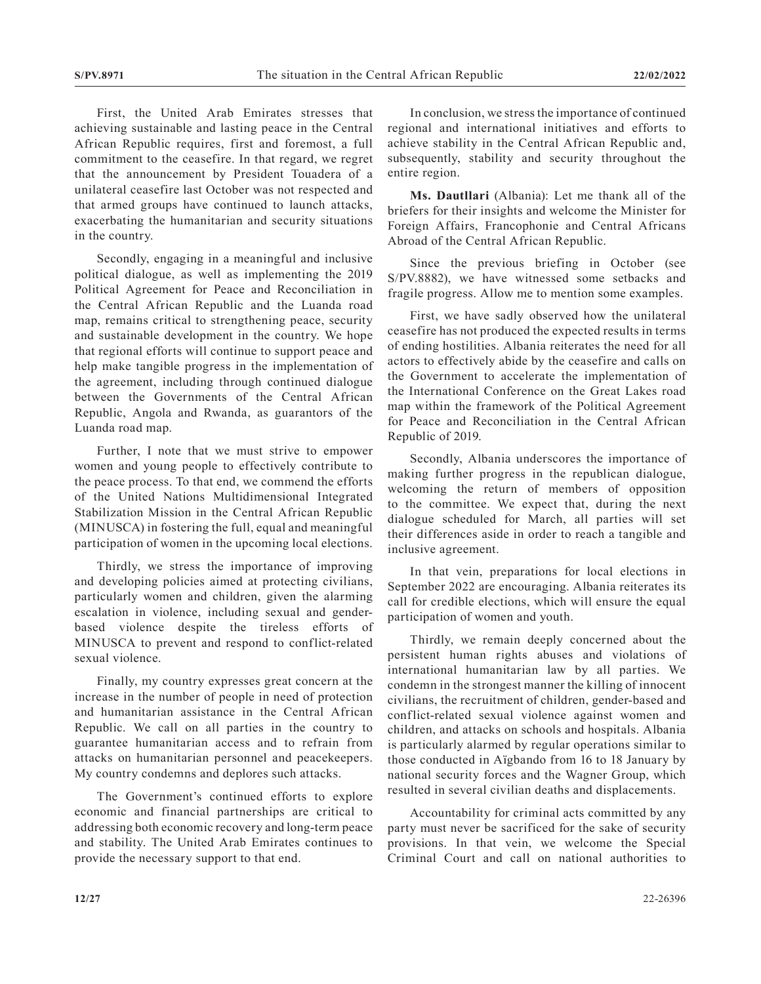First, the United Arab Emirates stresses that achieving sustainable and lasting peace in the Central African Republic requires, first and foremost, a full commitment to the ceasefire. In that regard, we regret that the announcement by President Touadera of a unilateral ceasefire last October was not respected and that armed groups have continued to launch attacks, exacerbating the humanitarian and security situations in the country.

Secondly, engaging in a meaningful and inclusive political dialogue, as well as implementing the 2019 Political Agreement for Peace and Reconciliation in the Central African Republic and the Luanda road map, remains critical to strengthening peace, security and sustainable development in the country. We hope that regional efforts will continue to support peace and help make tangible progress in the implementation of the agreement, including through continued dialogue between the Governments of the Central African Republic, Angola and Rwanda, as guarantors of the Luanda road map.

Further, I note that we must strive to empower women and young people to effectively contribute to the peace process. To that end, we commend the efforts of the United Nations Multidimensional Integrated Stabilization Mission in the Central African Republic (MINUSCA) in fostering the full, equal and meaningful participation of women in the upcoming local elections.

Thirdly, we stress the importance of improving and developing policies aimed at protecting civilians, particularly women and children, given the alarming escalation in violence, including sexual and genderbased violence despite the tireless efforts of MINUSCA to prevent and respond to conflict-related sexual violence.

Finally, my country expresses great concern at the increase in the number of people in need of protection and humanitarian assistance in the Central African Republic. We call on all parties in the country to guarantee humanitarian access and to refrain from attacks on humanitarian personnel and peacekeepers. My country condemns and deplores such attacks.

The Government's continued efforts to explore economic and financial partnerships are critical to addressing both economic recovery and long-term peace and stability. The United Arab Emirates continues to provide the necessary support to that end.

In conclusion, we stress the importance of continued regional and international initiatives and efforts to achieve stability in the Central African Republic and, subsequently, stability and security throughout the entire region.

**Ms. Dautllari** (Albania): Let me thank all of the briefers for their insights and welcome the Minister for Foreign Affairs, Francophonie and Central Africans Abroad of the Central African Republic.

Since the previous briefing in October (see S/PV.8882), we have witnessed some setbacks and fragile progress. Allow me to mention some examples.

First, we have sadly observed how the unilateral ceasefire has not produced the expected results in terms of ending hostilities. Albania reiterates the need for all actors to effectively abide by the ceasefire and calls on the Government to accelerate the implementation of the International Conference on the Great Lakes road map within the framework of the Political Agreement for Peace and Reconciliation in the Central African Republic of 2019.

Secondly, Albania underscores the importance of making further progress in the republican dialogue, welcoming the return of members of opposition to the committee. We expect that, during the next dialogue scheduled for March, all parties will set their differences aside in order to reach a tangible and inclusive agreement.

In that vein, preparations for local elections in September 2022 are encouraging. Albania reiterates its call for credible elections, which will ensure the equal participation of women and youth.

Thirdly, we remain deeply concerned about the persistent human rights abuses and violations of international humanitarian law by all parties. We condemn in the strongest manner the killing of innocent civilians, the recruitment of children, gender-based and conflict-related sexual violence against women and children, and attacks on schools and hospitals. Albania is particularly alarmed by regular operations similar to those conducted in Aïgbando from 16 to 18 January by national security forces and the Wagner Group, which resulted in several civilian deaths and displacements.

Accountability for criminal acts committed by any party must never be sacrificed for the sake of security provisions. In that vein, we welcome the Special Criminal Court and call on national authorities to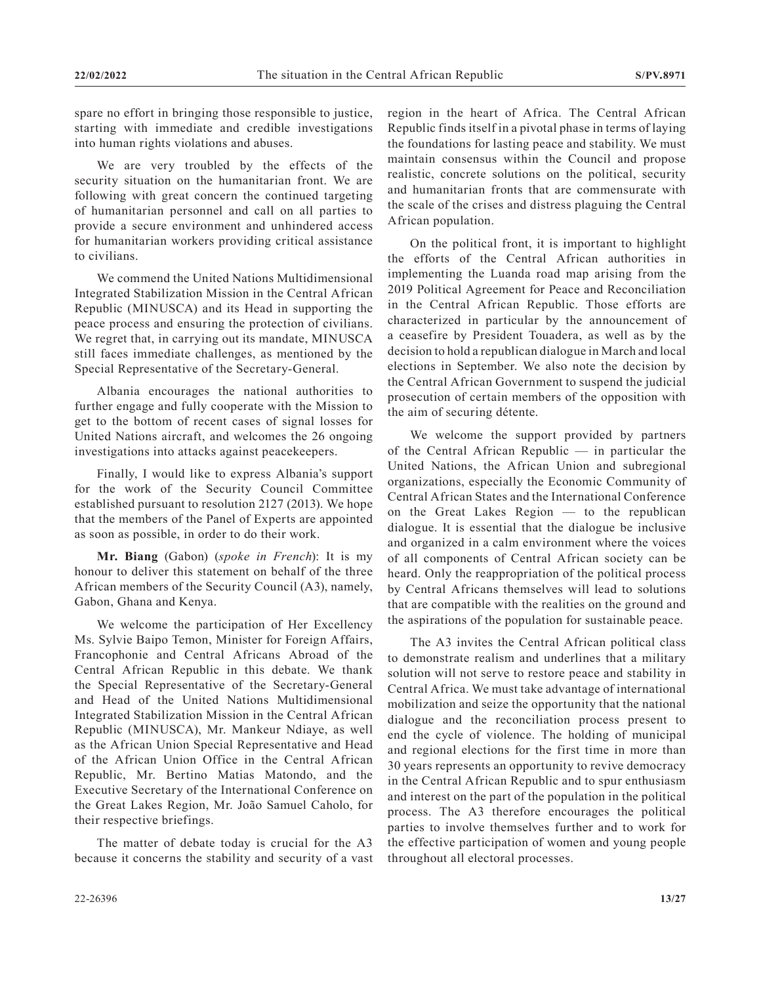spare no effort in bringing those responsible to justice, starting with immediate and credible investigations into human rights violations and abuses.

We are very troubled by the effects of the security situation on the humanitarian front. We are following with great concern the continued targeting of humanitarian personnel and call on all parties to provide a secure environment and unhindered access for humanitarian workers providing critical assistance to civilians.

We commend the United Nations Multidimensional Integrated Stabilization Mission in the Central African Republic (MINUSCA) and its Head in supporting the peace process and ensuring the protection of civilians. We regret that, in carrying out its mandate, MINUSCA still faces immediate challenges, as mentioned by the Special Representative of the Secretary-General.

Albania encourages the national authorities to further engage and fully cooperate with the Mission to get to the bottom of recent cases of signal losses for United Nations aircraft, and welcomes the 26 ongoing investigations into attacks against peacekeepers.

Finally, I would like to express Albania's support for the work of the Security Council Committee established pursuant to resolution 2127 (2013). We hope that the members of the Panel of Experts are appointed as soon as possible, in order to do their work.

**Mr. Biang** (Gabon) (*spoke in French*): It is my honour to deliver this statement on behalf of the three African members of the Security Council (A3), namely, Gabon, Ghana and Kenya.

We welcome the participation of Her Excellency Ms. Sylvie Baipo Temon, Minister for Foreign Affairs, Francophonie and Central Africans Abroad of the Central African Republic in this debate. We thank the Special Representative of the Secretary-General and Head of the United Nations Multidimensional Integrated Stabilization Mission in the Central African Republic (MINUSCA), Mr. Mankeur Ndiaye, as well as the African Union Special Representative and Head of the African Union Office in the Central African Republic, Mr. Bertino Matias Matondo, and the Executive Secretary of the International Conference on the Great Lakes Region, Mr. João Samuel Caholo, for their respective briefings.

The matter of debate today is crucial for the A3 because it concerns the stability and security of a vast region in the heart of Africa. The Central African Republic finds itself in a pivotal phase in terms of laying the foundations for lasting peace and stability. We must maintain consensus within the Council and propose realistic, concrete solutions on the political, security and humanitarian fronts that are commensurate with the scale of the crises and distress plaguing the Central African population.

On the political front, it is important to highlight the efforts of the Central African authorities in implementing the Luanda road map arising from the 2019 Political Agreement for Peace and Reconciliation in the Central African Republic. Those efforts are characterized in particular by the announcement of a ceasefire by President Touadera, as well as by the decision to hold a republican dialogue in March and local elections in September. We also note the decision by the Central African Government to suspend the judicial prosecution of certain members of the opposition with the aim of securing détente.

We welcome the support provided by partners of the Central African Republic — in particular the United Nations, the African Union and subregional organizations, especially the Economic Community of Central African States and the International Conference on the Great Lakes Region — to the republican dialogue. It is essential that the dialogue be inclusive and organized in a calm environment where the voices of all components of Central African society can be heard. Only the reappropriation of the political process by Central Africans themselves will lead to solutions that are compatible with the realities on the ground and the aspirations of the population for sustainable peace.

The A3 invites the Central African political class to demonstrate realism and underlines that a military solution will not serve to restore peace and stability in Central Africa. We must take advantage of international mobilization and seize the opportunity that the national dialogue and the reconciliation process present to end the cycle of violence. The holding of municipal and regional elections for the first time in more than 30 years represents an opportunity to revive democracy in the Central African Republic and to spur enthusiasm and interest on the part of the population in the political process. The A3 therefore encourages the political parties to involve themselves further and to work for the effective participation of women and young people throughout all electoral processes.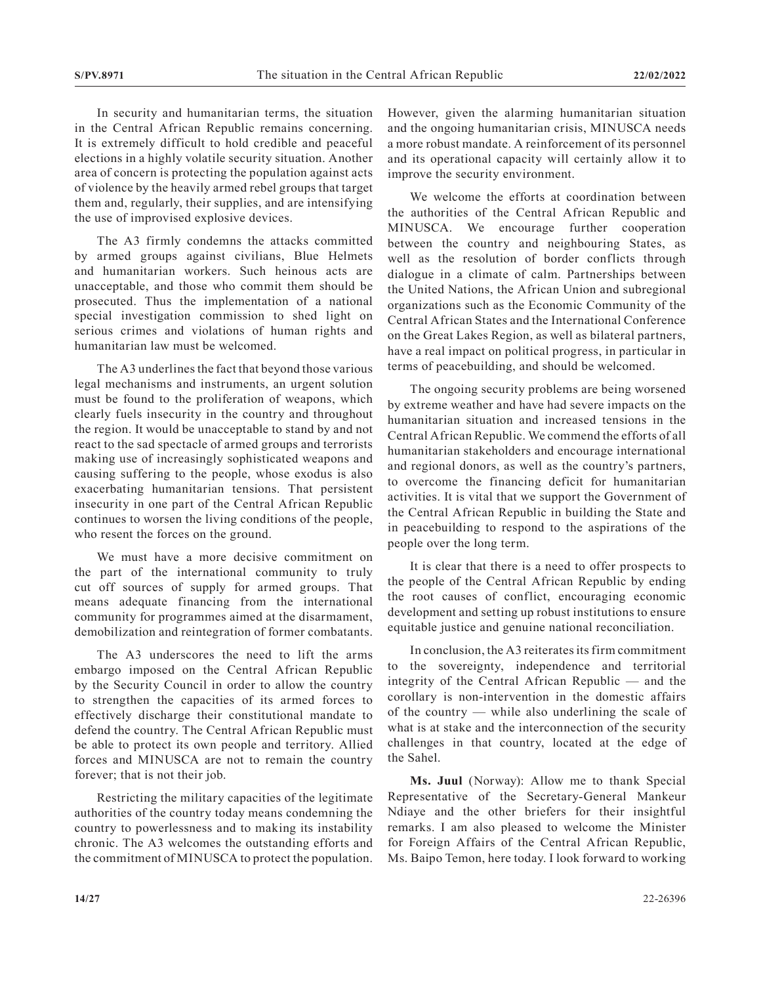In security and humanitarian terms, the situation in the Central African Republic remains concerning. It is extremely difficult to hold credible and peaceful elections in a highly volatile security situation. Another area of concern is protecting the population against acts of violence by the heavily armed rebel groups that target them and, regularly, their supplies, and are intensifying the use of improvised explosive devices.

The A3 firmly condemns the attacks committed by armed groups against civilians, Blue Helmets and humanitarian workers. Such heinous acts are unacceptable, and those who commit them should be prosecuted. Thus the implementation of a national special investigation commission to shed light on serious crimes and violations of human rights and humanitarian law must be welcomed.

The A3 underlines the fact that beyond those various legal mechanisms and instruments, an urgent solution must be found to the proliferation of weapons, which clearly fuels insecurity in the country and throughout the region. It would be unacceptable to stand by and not react to the sad spectacle of armed groups and terrorists making use of increasingly sophisticated weapons and causing suffering to the people, whose exodus is also exacerbating humanitarian tensions. That persistent insecurity in one part of the Central African Republic continues to worsen the living conditions of the people, who resent the forces on the ground.

We must have a more decisive commitment on the part of the international community to truly cut off sources of supply for armed groups. That means adequate financing from the international community for programmes aimed at the disarmament, demobilization and reintegration of former combatants.

The A3 underscores the need to lift the arms embargo imposed on the Central African Republic by the Security Council in order to allow the country to strengthen the capacities of its armed forces to effectively discharge their constitutional mandate to defend the country. The Central African Republic must be able to protect its own people and territory. Allied forces and MINUSCA are not to remain the country forever; that is not their job.

Restricting the military capacities of the legitimate authorities of the country today means condemning the country to powerlessness and to making its instability chronic. The A3 welcomes the outstanding efforts and the commitment of MINUSCA to protect the population. However, given the alarming humanitarian situation and the ongoing humanitarian crisis, MINUSCA needs a more robust mandate. A reinforcement of its personnel and its operational capacity will certainly allow it to improve the security environment.

We welcome the efforts at coordination between the authorities of the Central African Republic and MINUSCA. We encourage further cooperation between the country and neighbouring States, as well as the resolution of border conflicts through dialogue in a climate of calm. Partnerships between the United Nations, the African Union and subregional organizations such as the Economic Community of the Central African States and the International Conference on the Great Lakes Region, as well as bilateral partners, have a real impact on political progress, in particular in terms of peacebuilding, and should be welcomed.

The ongoing security problems are being worsened by extreme weather and have had severe impacts on the humanitarian situation and increased tensions in the Central African Republic. We commend the efforts of all humanitarian stakeholders and encourage international and regional donors, as well as the country's partners, to overcome the financing deficit for humanitarian activities. It is vital that we support the Government of the Central African Republic in building the State and in peacebuilding to respond to the aspirations of the people over the long term.

It is clear that there is a need to offer prospects to the people of the Central African Republic by ending the root causes of conflict, encouraging economic development and setting up robust institutions to ensure equitable justice and genuine national reconciliation.

In conclusion, the A3 reiterates its firm commitment to the sovereignty, independence and territorial integrity of the Central African Republic — and the corollary is non-intervention in the domestic affairs of the country — while also underlining the scale of what is at stake and the interconnection of the security challenges in that country, located at the edge of the Sahel.

**Ms. Juul** (Norway): Allow me to thank Special Representative of the Secretary-General Mankeur Ndiaye and the other briefers for their insightful remarks. I am also pleased to welcome the Minister for Foreign Affairs of the Central African Republic, Ms. Baipo Temon, here today. I look forward to working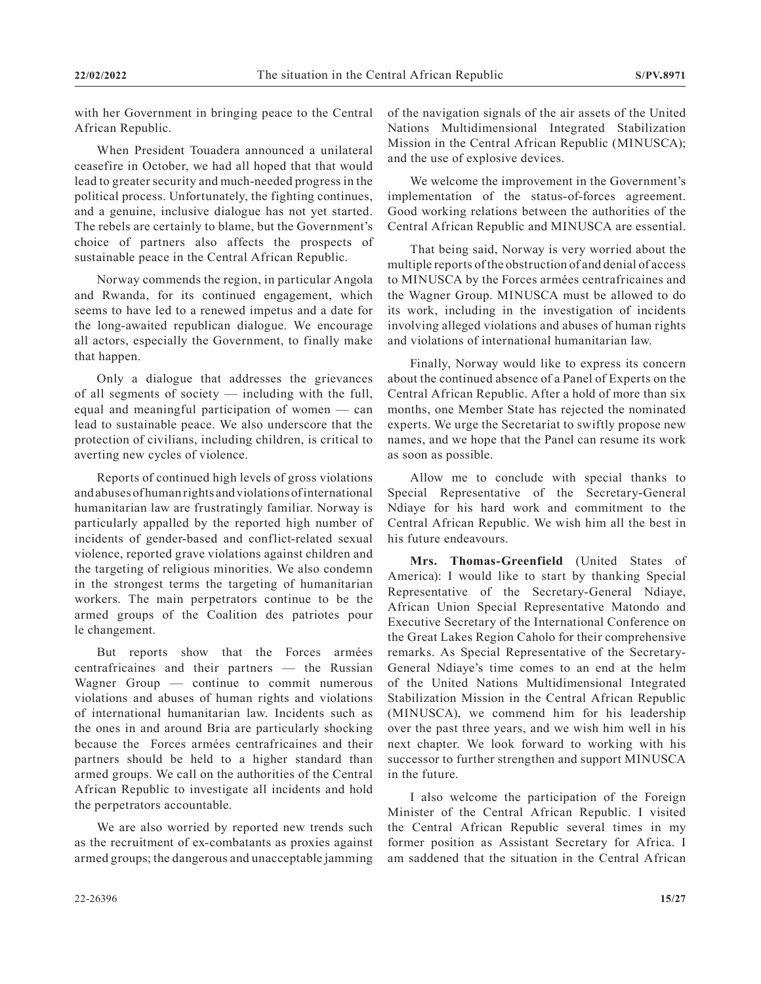with her Government in bringing peace to the Central African Republic.

When President Touadera announced a unilateral ceasefire in October, we had all hoped that that would lead to greater security and much-needed progress in the political process. Unfortunately, the fighting continues, and a genuine, inclusive dialogue has not yet started. The rebels are certainly to blame, but the Government's choice of partners also affects the prospects of sustainable peace in the Central African Republic.

Norway commends the region, in particular Angola and Rwanda, for its continued engagement, which seems to have led to a renewed impetus and a date for the long-awaited republican dialogue. We encourage all actors, especially the Government, to finally make that happen.

Only a dialogue that addresses the grievances of all segments of society — including with the full, equal and meaningful participation of women — can lead to sustainable peace. We also underscore that the protection of civilians, including children, is critical to averting new cycles of violence.

Reports of continued high levels of gross violations and abuses of human rights and violations of international humanitarian law are frustratingly familiar. Norway is particularly appalled by the reported high number of incidents of gender-based and conflict-related sexual violence, reported grave violations against children and the targeting of religious minorities. We also condemn in the strongest terms the targeting of humanitarian workers. The main perpetrators continue to be the armed groups of the Coalition des patriotes pour le changement.

But reports show that the Forces armées centrafricaines and their partners — the Russian Wagner Group — continue to commit numerous violations and abuses of human rights and violations of international humanitarian law. Incidents such as the ones in and around Bria are particularly shocking because the Forces armées centrafricaines and their partners should be held to a higher standard than armed groups. We call on the authorities of the Central African Republic to investigate all incidents and hold the perpetrators accountable.

We are also worried by reported new trends such as the recruitment of ex-combatants as proxies against armed groups; the dangerous and unacceptable jamming of the navigation signals of the air assets of the United Nations Multidimensional Integrated Stabilization Mission in the Central African Republic (MINUSCA); and the use of explosive devices.

We welcome the improvement in the Government's implementation of the status-of-forces agreement. Good working relations between the authorities of the Central African Republic and MINUSCA are essential.

That being said, Norway is very worried about the multiple reports of the obstruction of and denial of access to MINUSCA by the Forces armées centrafricaines and the Wagner Group. MINUSCA must be allowed to do its work, including in the investigation of incidents involving alleged violations and abuses of human rights and violations of international humanitarian law.

Finally, Norway would like to express its concern about the continued absence of a Panel of Experts on the Central African Republic. After a hold of more than six months, one Member State has rejected the nominated experts. We urge the Secretariat to swiftly propose new names, and we hope that the Panel can resume its work as soon as possible.

Allow me to conclude with special thanks to Special Representative of the Secretary-General Ndiaye for his hard work and commitment to the Central African Republic. We wish him all the best in his future endeavours.

**Mrs. Thomas-Greenfield** (United States of America): I would like to start by thanking Special Representative of the Secretary-General Ndiaye, African Union Special Representative Matondo and Executive Secretary of the International Conference on the Great Lakes Region Caholo for their comprehensive remarks. As Special Representative of the Secretary-General Ndiaye's time comes to an end at the helm of the United Nations Multidimensional Integrated Stabilization Mission in the Central African Republic (MINUSCA), we commend him for his leadership over the past three years, and we wish him well in his next chapter. We look forward to working with his successor to further strengthen and support MINUSCA in the future.

I also welcome the participation of the Foreign Minister of the Central African Republic. I visited the Central African Republic several times in my former position as Assistant Secretary for Africa. I am saddened that the situation in the Central African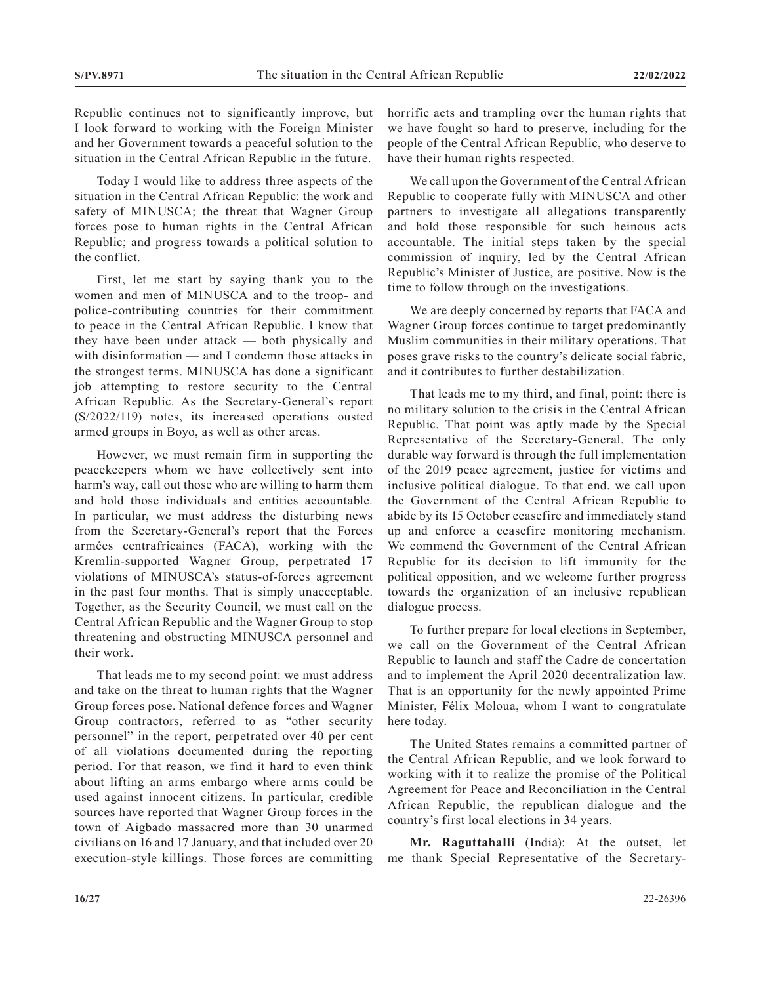Republic continues not to significantly improve, but I look forward to working with the Foreign Minister and her Government towards a peaceful solution to the situation in the Central African Republic in the future.

Today I would like to address three aspects of the situation in the Central African Republic: the work and safety of MINUSCA; the threat that Wagner Group forces pose to human rights in the Central African Republic; and progress towards a political solution to the conflict.

First, let me start by saying thank you to the women and men of MINUSCA and to the troop- and police-contributing countries for their commitment to peace in the Central African Republic. I know that they have been under attack — both physically and with disinformation — and I condemn those attacks in the strongest terms. MINUSCA has done a significant job attempting to restore security to the Central African Republic. As the Secretary-General's report (S/2022/119) notes, its increased operations ousted armed groups in Boyo, as well as other areas.

However, we must remain firm in supporting the peacekeepers whom we have collectively sent into harm's way, call out those who are willing to harm them and hold those individuals and entities accountable. In particular, we must address the disturbing news from the Secretary-General's report that the Forces armées centrafricaines (FACA), working with the Kremlin-supported Wagner Group, perpetrated 17 violations of MINUSCA's status-of-forces agreement in the past four months. That is simply unacceptable. Together, as the Security Council, we must call on the Central African Republic and the Wagner Group to stop threatening and obstructing MINUSCA personnel and their work.

That leads me to my second point: we must address and take on the threat to human rights that the Wagner Group forces pose. National defence forces and Wagner Group contractors, referred to as "other security personnel" in the report, perpetrated over 40 per cent of all violations documented during the reporting period. For that reason, we find it hard to even think about lifting an arms embargo where arms could be used against innocent citizens. In particular, credible sources have reported that Wagner Group forces in the town of Aigbado massacred more than 30 unarmed civilians on 16 and 17 January, and that included over 20 execution-style killings. Those forces are committing

horrific acts and trampling over the human rights that we have fought so hard to preserve, including for the people of the Central African Republic, who deserve to have their human rights respected.

We call upon the Government of the Central African Republic to cooperate fully with MINUSCA and other partners to investigate all allegations transparently and hold those responsible for such heinous acts accountable. The initial steps taken by the special commission of inquiry, led by the Central African Republic's Minister of Justice, are positive. Now is the time to follow through on the investigations.

We are deeply concerned by reports that FACA and Wagner Group forces continue to target predominantly Muslim communities in their military operations. That poses grave risks to the country's delicate social fabric, and it contributes to further destabilization.

That leads me to my third, and final, point: there is no military solution to the crisis in the Central African Republic. That point was aptly made by the Special Representative of the Secretary-General. The only durable way forward is through the full implementation of the 2019 peace agreement, justice for victims and inclusive political dialogue. To that end, we call upon the Government of the Central African Republic to abide by its 15 October ceasefire and immediately stand up and enforce a ceasefire monitoring mechanism. We commend the Government of the Central African Republic for its decision to lift immunity for the political opposition, and we welcome further progress towards the organization of an inclusive republican dialogue process.

To further prepare for local elections in September, we call on the Government of the Central African Republic to launch and staff the Cadre de concertation and to implement the April 2020 decentralization law. That is an opportunity for the newly appointed Prime Minister, Félix Moloua, whom I want to congratulate here today.

The United States remains a committed partner of the Central African Republic, and we look forward to working with it to realize the promise of the Political Agreement for Peace and Reconciliation in the Central African Republic, the republican dialogue and the country's first local elections in 34 years.

**Mr. Raguttahalli** (India): At the outset, let me thank Special Representative of the Secretary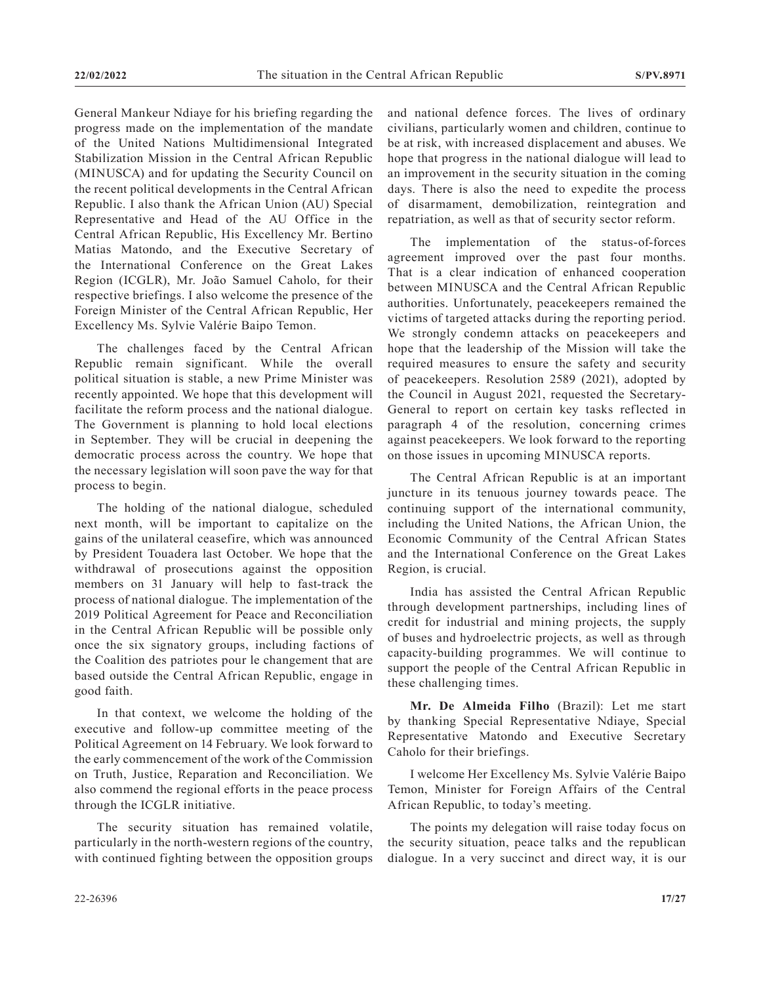General Mankeur Ndiaye for his briefing regarding the progress made on the implementation of the mandate of the United Nations Multidimensional Integrated Stabilization Mission in the Central African Republic (MINUSCA) and for updating the Security Council on the recent political developments in the Central African Republic. I also thank the African Union (AU) Special Representative and Head of the AU Office in the Central African Republic, His Excellency Mr. Bertino Matias Matondo, and the Executive Secretary of the International Conference on the Great Lakes Region (ICGLR), Mr. João Samuel Caholo, for their respective briefings. I also welcome the presence of the Foreign Minister of the Central African Republic, Her Excellency Ms. Sylvie Valérie Baipo Temon.

The challenges faced by the Central African Republic remain significant. While the overall political situation is stable, a new Prime Minister was recently appointed. We hope that this development will facilitate the reform process and the national dialogue. The Government is planning to hold local elections in September. They will be crucial in deepening the democratic process across the country. We hope that the necessary legislation will soon pave the way for that process to begin.

The holding of the national dialogue, scheduled next month, will be important to capitalize on the gains of the unilateral ceasefire, which was announced by President Touadera last October. We hope that the withdrawal of prosecutions against the opposition members on 31 January will help to fast-track the process of national dialogue. The implementation of the 2019 Political Agreement for Peace and Reconciliation in the Central African Republic will be possible only once the six signatory groups, including factions of the Coalition des patriotes pour le changement that are based outside the Central African Republic, engage in good faith.

In that context, we welcome the holding of the executive and follow-up committee meeting of the Political Agreement on 14 February. We look forward to the early commencement of the work of the Commission on Truth, Justice, Reparation and Reconciliation. We also commend the regional efforts in the peace process through the ICGLR initiative.

The security situation has remained volatile, particularly in the north-western regions of the country, with continued fighting between the opposition groups and national defence forces. The lives of ordinary civilians, particularly women and children, continue to be at risk, with increased displacement and abuses. We hope that progress in the national dialogue will lead to an improvement in the security situation in the coming days. There is also the need to expedite the process of disarmament, demobilization, reintegration and repatriation, as well as that of security sector reform.

The implementation of the status-of-forces agreement improved over the past four months. That is a clear indication of enhanced cooperation between MINUSCA and the Central African Republic authorities. Unfortunately, peacekeepers remained the victims of targeted attacks during the reporting period. We strongly condemn attacks on peacekeepers and hope that the leadership of the Mission will take the required measures to ensure the safety and security of peacekeepers. Resolution 2589 (2021), adopted by the Council in August 2021, requested the Secretary-General to report on certain key tasks reflected in paragraph 4 of the resolution, concerning crimes against peacekeepers. We look forward to the reporting on those issues in upcoming MINUSCA reports.

The Central African Republic is at an important juncture in its tenuous journey towards peace. The continuing support of the international community, including the United Nations, the African Union, the Economic Community of the Central African States and the International Conference on the Great Lakes Region, is crucial.

India has assisted the Central African Republic through development partnerships, including lines of credit for industrial and mining projects, the supply of buses and hydroelectric projects, as well as through capacity-building programmes. We will continue to support the people of the Central African Republic in these challenging times.

**Mr. De Almeida Filho** (Brazil): Let me start by thanking Special Representative Ndiaye, Special Representative Matondo and Executive Secretary Caholo for their briefings.

I welcome Her Excellency Ms. Sylvie Valérie Baipo Temon, Minister for Foreign Affairs of the Central African Republic, to today's meeting.

The points my delegation will raise today focus on the security situation, peace talks and the republican dialogue. In a very succinct and direct way, it is our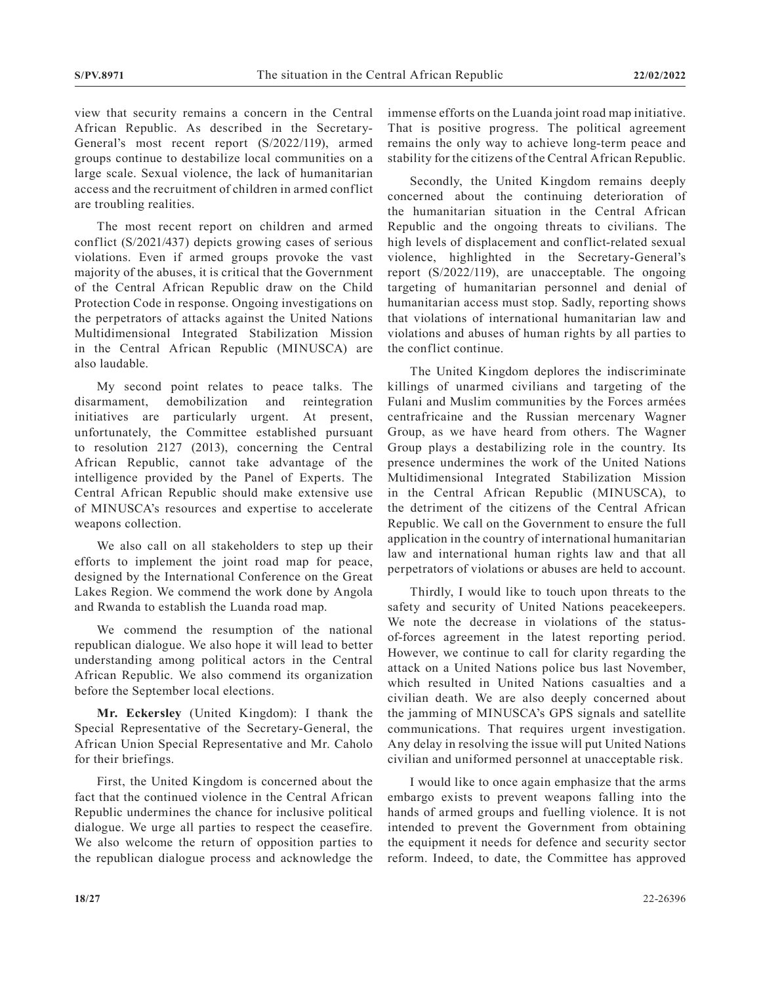view that security remains a concern in the Central African Republic. As described in the Secretary-General's most recent report (S/2022/119), armed groups continue to destabilize local communities on a large scale. Sexual violence, the lack of humanitarian access and the recruitment of children in armed conflict are troubling realities.

The most recent report on children and armed conflict (S/2021/437) depicts growing cases of serious violations. Even if armed groups provoke the vast majority of the abuses, it is critical that the Government of the Central African Republic draw on the Child Protection Code in response. Ongoing investigations on the perpetrators of attacks against the United Nations Multidimensional Integrated Stabilization Mission in the Central African Republic (MINUSCA) are also laudable.

My second point relates to peace talks. The disarmament, demobilization and reintegration initiatives are particularly urgent. At present, unfortunately, the Committee established pursuant to resolution 2127 (2013), concerning the Central African Republic, cannot take advantage of the intelligence provided by the Panel of Experts. The Central African Republic should make extensive use of MINUSCA's resources and expertise to accelerate weapons collection.

We also call on all stakeholders to step up their efforts to implement the joint road map for peace, designed by the International Conference on the Great Lakes Region. We commend the work done by Angola and Rwanda to establish the Luanda road map.

We commend the resumption of the national republican dialogue. We also hope it will lead to better understanding among political actors in the Central African Republic. We also commend its organization before the September local elections.

**Mr. Eckersley** (United Kingdom): I thank the Special Representative of the Secretary-General, the African Union Special Representative and Mr. Caholo for their briefings.

First, the United Kingdom is concerned about the fact that the continued violence in the Central African Republic undermines the chance for inclusive political dialogue. We urge all parties to respect the ceasefire. We also welcome the return of opposition parties to the republican dialogue process and acknowledge the immense efforts on the Luanda joint road map initiative. That is positive progress. The political agreement remains the only way to achieve long-term peace and stability for the citizens of the Central African Republic.

Secondly, the United Kingdom remains deeply concerned about the continuing deterioration of the humanitarian situation in the Central African Republic and the ongoing threats to civilians. The high levels of displacement and conflict-related sexual violence, highlighted in the Secretary-General's report (S/2022/119), are unacceptable. The ongoing targeting of humanitarian personnel and denial of humanitarian access must stop. Sadly, reporting shows that violations of international humanitarian law and violations and abuses of human rights by all parties to the conflict continue.

The United Kingdom deplores the indiscriminate killings of unarmed civilians and targeting of the Fulani and Muslim communities by the Forces armées centrafricaine and the Russian mercenary Wagner Group, as we have heard from others. The Wagner Group plays a destabilizing role in the country. Its presence undermines the work of the United Nations Multidimensional Integrated Stabilization Mission in the Central African Republic (MINUSCA), to the detriment of the citizens of the Central African Republic. We call on the Government to ensure the full application in the country of international humanitarian law and international human rights law and that all perpetrators of violations or abuses are held to account.

Thirdly, I would like to touch upon threats to the safety and security of United Nations peacekeepers. We note the decrease in violations of the statusof-forces agreement in the latest reporting period. However, we continue to call for clarity regarding the attack on a United Nations police bus last November, which resulted in United Nations casualties and a civilian death. We are also deeply concerned about the jamming of MINUSCA's GPS signals and satellite communications. That requires urgent investigation. Any delay in resolving the issue will put United Nations civilian and uniformed personnel at unacceptable risk.

I would like to once again emphasize that the arms embargo exists to prevent weapons falling into the hands of armed groups and fuelling violence. It is not intended to prevent the Government from obtaining the equipment it needs for defence and security sector reform. Indeed, to date, the Committee has approved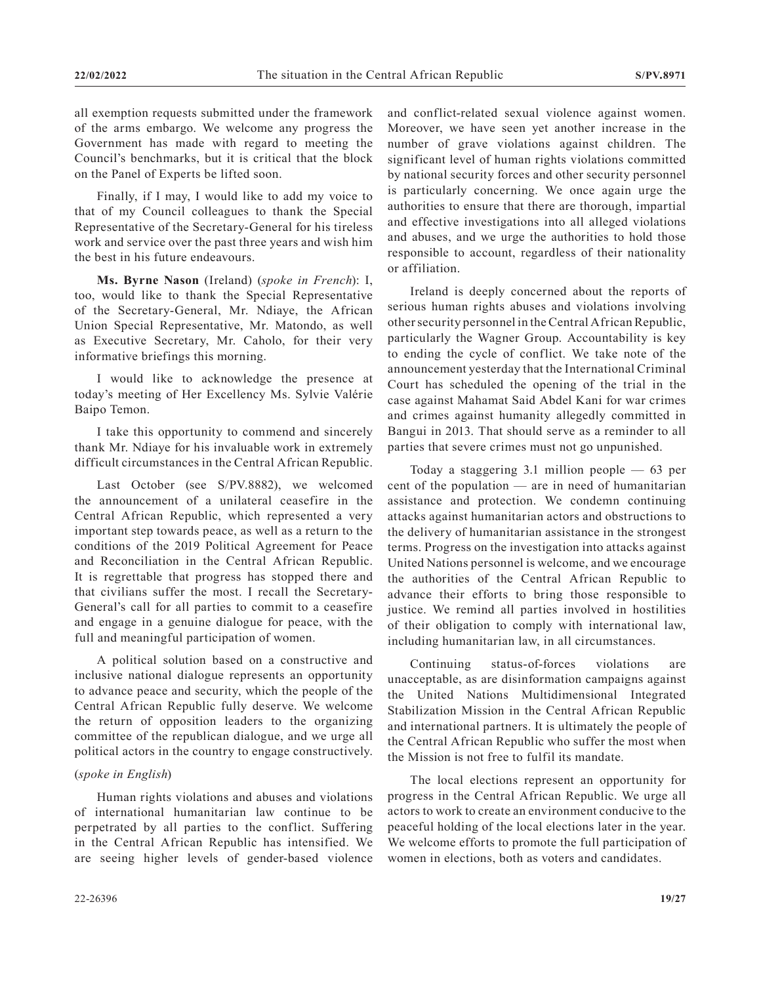all exemption requests submitted under the framework of the arms embargo. We welcome any progress the Government has made with regard to meeting the Council's benchmarks, but it is critical that the block on the Panel of Experts be lifted soon.

Finally, if I may, I would like to add my voice to that of my Council colleagues to thank the Special Representative of the Secretary-General for his tireless work and service over the past three years and wish him the best in his future endeavours.

**Ms. Byrne Nason** (Ireland) (*spoke in French*): I, too, would like to thank the Special Representative of the Secretary-General, Mr. Ndiaye, the African Union Special Representative, Mr. Matondo, as well as Executive Secretary, Mr. Caholo, for their very informative briefings this morning.

I would like to acknowledge the presence at today's meeting of Her Excellency Ms. Sylvie Valérie Baipo Temon.

I take this opportunity to commend and sincerely thank Mr. Ndiaye for his invaluable work in extremely difficult circumstances in the Central African Republic.

Last October (see S/PV.8882), we welcomed the announcement of a unilateral ceasefire in the Central African Republic, which represented a very important step towards peace, as well as a return to the conditions of the 2019 Political Agreement for Peace and Reconciliation in the Central African Republic. It is regrettable that progress has stopped there and that civilians suffer the most. I recall the Secretary-General's call for all parties to commit to a ceasefire and engage in a genuine dialogue for peace, with the full and meaningful participation of women.

A political solution based on a constructive and inclusive national dialogue represents an opportunity to advance peace and security, which the people of the Central African Republic fully deserve. We welcome the return of opposition leaders to the organizing committee of the republican dialogue, and we urge all political actors in the country to engage constructively.

#### (*spoke in English*)

Human rights violations and abuses and violations of international humanitarian law continue to be perpetrated by all parties to the conflict. Suffering in the Central African Republic has intensified. We are seeing higher levels of gender-based violence and conflict-related sexual violence against women. Moreover, we have seen yet another increase in the number of grave violations against children. The significant level of human rights violations committed by national security forces and other security personnel is particularly concerning. We once again urge the authorities to ensure that there are thorough, impartial and effective investigations into all alleged violations and abuses, and we urge the authorities to hold those responsible to account, regardless of their nationality or affiliation.

Ireland is deeply concerned about the reports of serious human rights abuses and violations involving other security personnel in the Central African Republic, particularly the Wagner Group. Accountability is key to ending the cycle of conflict. We take note of the announcement yesterday that the International Criminal Court has scheduled the opening of the trial in the case against Mahamat Said Abdel Kani for war crimes and crimes against humanity allegedly committed in Bangui in 2013. That should serve as a reminder to all parties that severe crimes must not go unpunished.

Today a staggering 3.1 million people — 63 per cent of the population — are in need of humanitarian assistance and protection. We condemn continuing attacks against humanitarian actors and obstructions to the delivery of humanitarian assistance in the strongest terms. Progress on the investigation into attacks against United Nations personnel is welcome, and we encourage the authorities of the Central African Republic to advance their efforts to bring those responsible to justice. We remind all parties involved in hostilities of their obligation to comply with international law, including humanitarian law, in all circumstances.

Continuing status-of-forces violations are unacceptable, as are disinformation campaigns against the United Nations Multidimensional Integrated Stabilization Mission in the Central African Republic and international partners. It is ultimately the people of the Central African Republic who suffer the most when the Mission is not free to fulfil its mandate.

The local elections represent an opportunity for progress in the Central African Republic. We urge all actors to work to create an environment conducive to the peaceful holding of the local elections later in the year. We welcome efforts to promote the full participation of women in elections, both as voters and candidates.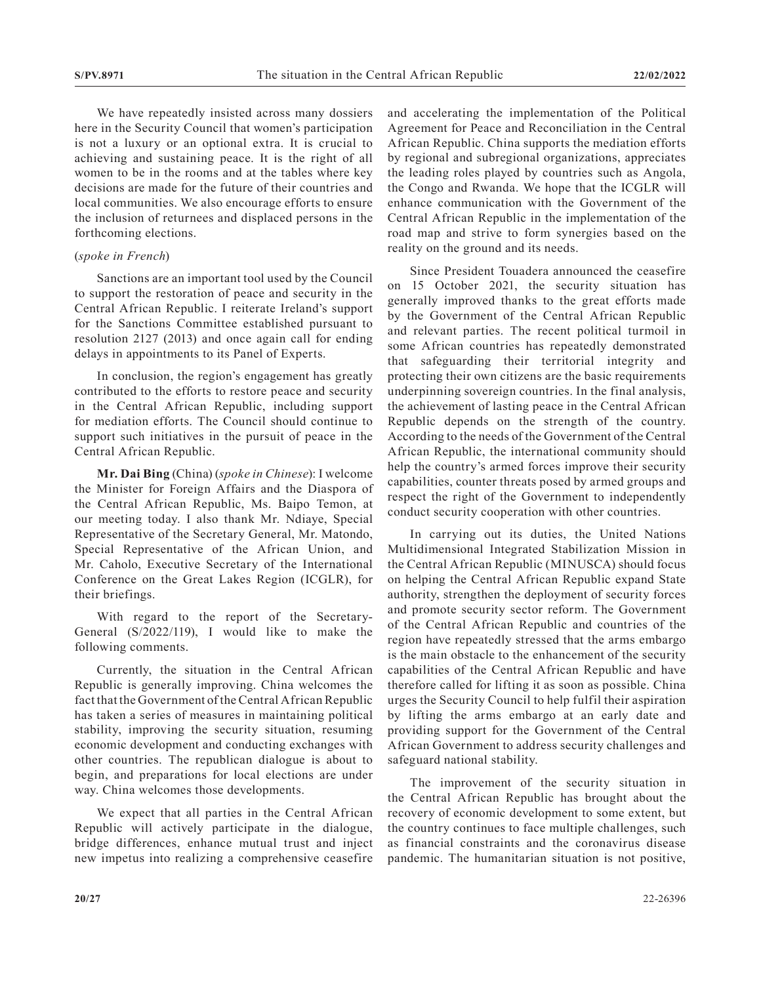We have repeatedly insisted across many dossiers here in the Security Council that women's participation is not a luxury or an optional extra. It is crucial to achieving and sustaining peace. It is the right of all women to be in the rooms and at the tables where key decisions are made for the future of their countries and local communities. We also encourage efforts to ensure the inclusion of returnees and displaced persons in the forthcoming elections.

## (*spoke in French*)

Sanctions are an important tool used by the Council to support the restoration of peace and security in the Central African Republic. I reiterate Ireland's support for the Sanctions Committee established pursuant to resolution 2127 (2013) and once again call for ending delays in appointments to its Panel of Experts.

In conclusion, the region's engagement has greatly contributed to the efforts to restore peace and security in the Central African Republic, including support for mediation efforts. The Council should continue to support such initiatives in the pursuit of peace in the Central African Republic.

**Mr. Dai Bing** (China) (*spoke in Chinese*): I welcome the Minister for Foreign Affairs and the Diaspora of the Central African Republic, Ms. Baipo Temon, at our meeting today. I also thank Mr. Ndiaye, Special Representative of the Secretary General, Mr. Matondo, Special Representative of the African Union, and Mr. Caholo, Executive Secretary of the International Conference on the Great Lakes Region (ICGLR), for their briefings.

With regard to the report of the Secretary-General (S/2022/119), I would like to make the following comments.

Currently, the situation in the Central African Republic is generally improving. China welcomes the fact that the Government of the Central African Republic has taken a series of measures in maintaining political stability, improving the security situation, resuming economic development and conducting exchanges with other countries. The republican dialogue is about to begin, and preparations for local elections are under way. China welcomes those developments.

We expect that all parties in the Central African Republic will actively participate in the dialogue, bridge differences, enhance mutual trust and inject new impetus into realizing a comprehensive ceasefire and accelerating the implementation of the Political Agreement for Peace and Reconciliation in the Central African Republic. China supports the mediation efforts by regional and subregional organizations, appreciates the leading roles played by countries such as Angola, the Congo and Rwanda. We hope that the ICGLR will enhance communication with the Government of the Central African Republic in the implementation of the road map and strive to form synergies based on the reality on the ground and its needs.

Since President Touadera announced the ceasefire on 15 October 2021, the security situation has generally improved thanks to the great efforts made by the Government of the Central African Republic and relevant parties. The recent political turmoil in some African countries has repeatedly demonstrated that safeguarding their territorial integrity and protecting their own citizens are the basic requirements underpinning sovereign countries. In the final analysis, the achievement of lasting peace in the Central African Republic depends on the strength of the country. According to the needs of the Government of the Central African Republic, the international community should help the country's armed forces improve their security capabilities, counter threats posed by armed groups and respect the right of the Government to independently conduct security cooperation with other countries.

In carrying out its duties, the United Nations Multidimensional Integrated Stabilization Mission in the Central African Republic (MINUSCA) should focus on helping the Central African Republic expand State authority, strengthen the deployment of security forces and promote security sector reform. The Government of the Central African Republic and countries of the region have repeatedly stressed that the arms embargo is the main obstacle to the enhancement of the security capabilities of the Central African Republic and have therefore called for lifting it as soon as possible. China urges the Security Council to help fulfil their aspiration by lifting the arms embargo at an early date and providing support for the Government of the Central African Government to address security challenges and safeguard national stability.

The improvement of the security situation in the Central African Republic has brought about the recovery of economic development to some extent, but the country continues to face multiple challenges, such as financial constraints and the coronavirus disease pandemic. The humanitarian situation is not positive,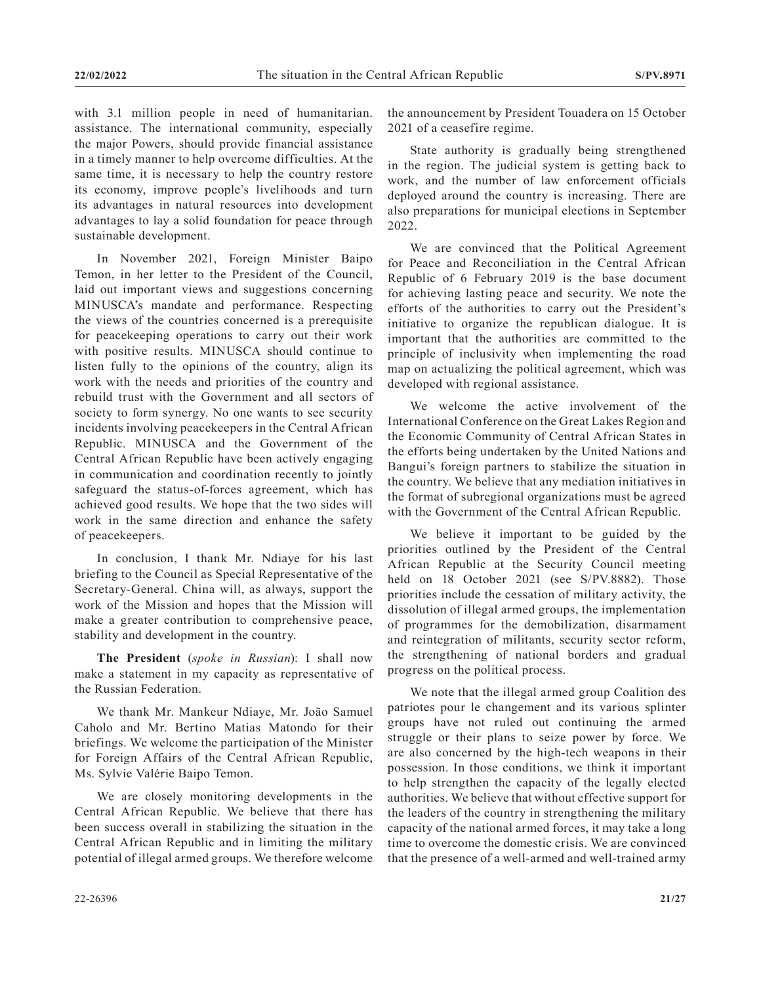with 3.1 million people in need of humanitarian. assistance. The international community, especially the major Powers, should provide financial assistance in a timely manner to help overcome difficulties. At the same time, it is necessary to help the country restore its economy, improve people's livelihoods and turn its advantages in natural resources into development advantages to lay a solid foundation for peace through sustainable development.

In November 2021, Foreign Minister Baipo Temon, in her letter to the President of the Council, laid out important views and suggestions concerning MINUSCA's mandate and performance. Respecting the views of the countries concerned is a prerequisite for peacekeeping operations to carry out their work with positive results. MINUSCA should continue to listen fully to the opinions of the country, align its work with the needs and priorities of the country and rebuild trust with the Government and all sectors of society to form synergy. No one wants to see security incidents involving peacekeepers in the Central African Republic. MINUSCA and the Government of the Central African Republic have been actively engaging in communication and coordination recently to jointly safeguard the status-of-forces agreement, which has achieved good results. We hope that the two sides will work in the same direction and enhance the safety of peacekeepers.

In conclusion, I thank Mr. Ndiaye for his last briefing to the Council as Special Representative of the Secretary-General. China will, as always, support the work of the Mission and hopes that the Mission will make a greater contribution to comprehensive peace, stability and development in the country.

**The President** (*spoke in Russian*): I shall now make a statement in my capacity as representative of the Russian Federation.

We thank Mr. Mankeur Ndiaye, Mr. João Samuel Caholo and Mr. Bertino Matias Matondo for their briefings. We welcome the participation of the Minister for Foreign Affairs of the Central African Republic, Ms. Sylvie Valérie Baipo Temon.

We are closely monitoring developments in the Central African Republic. We believe that there has been success overall in stabilizing the situation in the Central African Republic and in limiting the military potential of illegal armed groups. We therefore welcome the announcement by President Touadera on 15 October 2021 of a ceasefire regime.

State authority is gradually being strengthened in the region. The judicial system is getting back to work, and the number of law enforcement officials deployed around the country is increasing. There are also preparations for municipal elections in September 2022.

We are convinced that the Political Agreement for Peace and Reconciliation in the Central African Republic of 6 February 2019 is the base document for achieving lasting peace and security. We note the efforts of the authorities to carry out the President's initiative to organize the republican dialogue. It is important that the authorities are committed to the principle of inclusivity when implementing the road map on actualizing the political agreement, which was developed with regional assistance.

We welcome the active involvement of the International Conference on the Great Lakes Region and the Economic Community of Central African States in the efforts being undertaken by the United Nations and Bangui's foreign partners to stabilize the situation in the country. We believe that any mediation initiatives in the format of subregional organizations must be agreed with the Government of the Central African Republic.

We believe it important to be guided by the priorities outlined by the President of the Central African Republic at the Security Council meeting held on 18 October 2021 (see S/PV.8882). Those priorities include the cessation of military activity, the dissolution of illegal armed groups, the implementation of programmes for the demobilization, disarmament and reintegration of militants, security sector reform, the strengthening of national borders and gradual progress on the political process.

We note that the illegal armed group Coalition des patriotes pour le changement and its various splinter groups have not ruled out continuing the armed struggle or their plans to seize power by force. We are also concerned by the high-tech weapons in their possession. In those conditions, we think it important to help strengthen the capacity of the legally elected authorities. We believe that without effective support for the leaders of the country in strengthening the military capacity of the national armed forces, it may take a long time to overcome the domestic crisis. We are convinced that the presence of a well-armed and well-trained army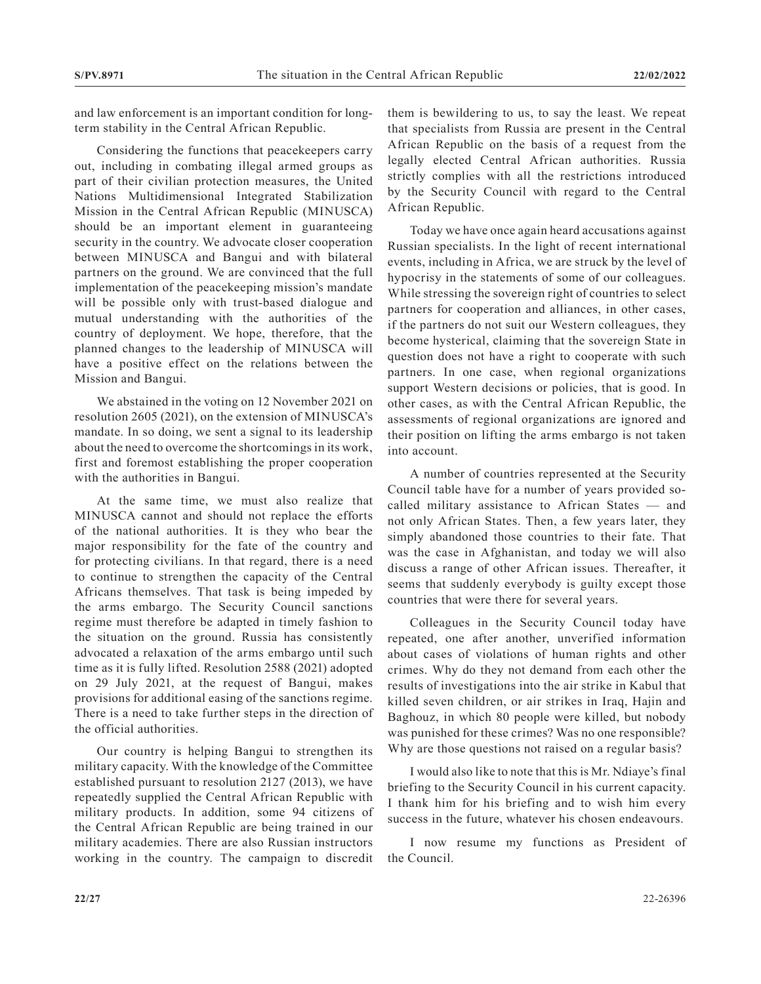and law enforcement is an important condition for longterm stability in the Central African Republic.

Considering the functions that peacekeepers carry out, including in combating illegal armed groups as part of their civilian protection measures, the United Nations Multidimensional Integrated Stabilization Mission in the Central African Republic (MINUSCA) should be an important element in guaranteeing security in the country. We advocate closer cooperation between MINUSCA and Bangui and with bilateral partners on the ground. We are convinced that the full implementation of the peacekeeping mission's mandate will be possible only with trust-based dialogue and mutual understanding with the authorities of the country of deployment. We hope, therefore, that the planned changes to the leadership of MINUSCA will have a positive effect on the relations between the Mission and Bangui.

We abstained in the voting on 12 November 2021 on resolution 2605 (2021), on the extension of MINUSCA's mandate. In so doing, we sent a signal to its leadership about the need to overcome the shortcomings in its work, first and foremost establishing the proper cooperation with the authorities in Bangui.

At the same time, we must also realize that MINUSCA cannot and should not replace the efforts of the national authorities. It is they who bear the major responsibility for the fate of the country and for protecting civilians. In that regard, there is a need to continue to strengthen the capacity of the Central Africans themselves. That task is being impeded by the arms embargo. The Security Council sanctions regime must therefore be adapted in timely fashion to the situation on the ground. Russia has consistently advocated a relaxation of the arms embargo until such time as it is fully lifted. Resolution 2588 (2021) adopted on 29 July 2021, at the request of Bangui, makes provisions for additional easing of the sanctions regime. There is a need to take further steps in the direction of the official authorities.

Our country is helping Bangui to strengthen its military capacity. With the knowledge of the Committee established pursuant to resolution 2127 (2013), we have repeatedly supplied the Central African Republic with military products. In addition, some 94 citizens of the Central African Republic are being trained in our military academies. There are also Russian instructors working in the country. The campaign to discredit them is bewildering to us, to say the least. We repeat that specialists from Russia are present in the Central African Republic on the basis of a request from the legally elected Central African authorities. Russia strictly complies with all the restrictions introduced by the Security Council with regard to the Central African Republic.

Today we have once again heard accusations against Russian specialists. In the light of recent international events, including in Africa, we are struck by the level of hypocrisy in the statements of some of our colleagues. While stressing the sovereign right of countries to select partners for cooperation and alliances, in other cases, if the partners do not suit our Western colleagues, they become hysterical, claiming that the sovereign State in question does not have a right to cooperate with such partners. In one case, when regional organizations support Western decisions or policies, that is good. In other cases, as with the Central African Republic, the assessments of regional organizations are ignored and their position on lifting the arms embargo is not taken into account.

A number of countries represented at the Security Council table have for a number of years provided socalled military assistance to African States — and not only African States. Then, a few years later, they simply abandoned those countries to their fate. That was the case in Afghanistan, and today we will also discuss a range of other African issues. Thereafter, it seems that suddenly everybody is guilty except those countries that were there for several years.

Colleagues in the Security Council today have repeated, one after another, unverified information about cases of violations of human rights and other crimes. Why do they not demand from each other the results of investigations into the air strike in Kabul that killed seven children, or air strikes in Iraq, Hajin and Baghouz, in which 80 people were killed, but nobody was punished for these crimes? Was no one responsible? Why are those questions not raised on a regular basis?

I would also like to note that this is Mr. Ndiaye's final briefing to the Security Council in his current capacity. I thank him for his briefing and to wish him every success in the future, whatever his chosen endeavours.

I now resume my functions as President of the Council.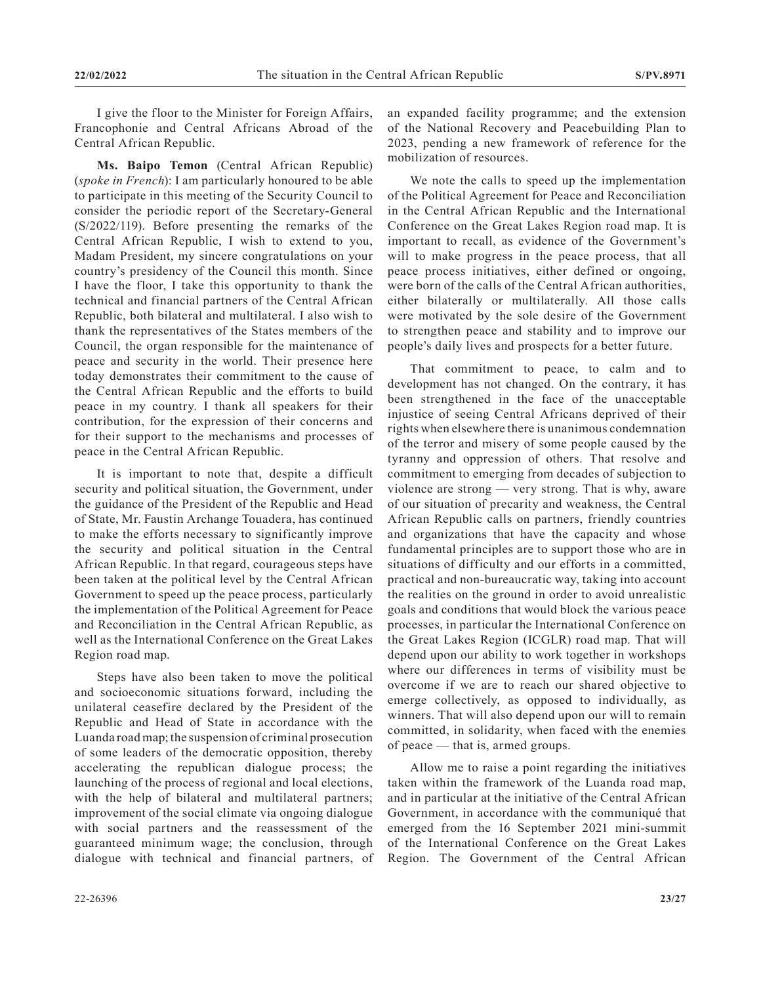I give the floor to the Minister for Foreign Affairs, Francophonie and Central Africans Abroad of the Central African Republic.

**Ms. Baipo Temon** (Central African Republic) (*spoke in French*): I am particularly honoured to be able to participate in this meeting of the Security Council to consider the periodic report of the Secretary-General (S/2022/119). Before presenting the remarks of the Central African Republic, I wish to extend to you, Madam President, my sincere congratulations on your country's presidency of the Council this month. Since I have the floor, I take this opportunity to thank the technical and financial partners of the Central African Republic, both bilateral and multilateral. I also wish to thank the representatives of the States members of the Council, the organ responsible for the maintenance of peace and security in the world. Their presence here today demonstrates their commitment to the cause of the Central African Republic and the efforts to build peace in my country. I thank all speakers for their contribution, for the expression of their concerns and for their support to the mechanisms and processes of peace in the Central African Republic.

It is important to note that, despite a difficult security and political situation, the Government, under the guidance of the President of the Republic and Head of State, Mr. Faustin Archange Touadera, has continued to make the efforts necessary to significantly improve the security and political situation in the Central African Republic. In that regard, courageous steps have been taken at the political level by the Central African Government to speed up the peace process, particularly the implementation of the Political Agreement for Peace and Reconciliation in the Central African Republic, as well as the International Conference on the Great Lakes Region road map.

Steps have also been taken to move the political and socioeconomic situations forward, including the unilateral ceasefire declared by the President of the Republic and Head of State in accordance with the Luanda road map; the suspension of criminal prosecution of some leaders of the democratic opposition, thereby accelerating the republican dialogue process; the launching of the process of regional and local elections, with the help of bilateral and multilateral partners; improvement of the social climate via ongoing dialogue with social partners and the reassessment of the guaranteed minimum wage; the conclusion, through dialogue with technical and financial partners, of

We note the calls to speed up the implementation of the Political Agreement for Peace and Reconciliation in the Central African Republic and the International Conference on the Great Lakes Region road map. It is important to recall, as evidence of the Government's will to make progress in the peace process, that all peace process initiatives, either defined or ongoing, were born of the calls of the Central African authorities, either bilaterally or multilaterally. All those calls were motivated by the sole desire of the Government to strengthen peace and stability and to improve our people's daily lives and prospects for a better future.

That commitment to peace, to calm and to development has not changed. On the contrary, it has been strengthened in the face of the unacceptable injustice of seeing Central Africans deprived of their rights when elsewhere there is unanimous condemnation of the terror and misery of some people caused by the tyranny and oppression of others. That resolve and commitment to emerging from decades of subjection to violence are strong — very strong. That is why, aware of our situation of precarity and weakness, the Central African Republic calls on partners, friendly countries and organizations that have the capacity and whose fundamental principles are to support those who are in situations of difficulty and our efforts in a committed, practical and non-bureaucratic way, taking into account the realities on the ground in order to avoid unrealistic goals and conditions that would block the various peace processes, in particular the International Conference on the Great Lakes Region (ICGLR) road map. That will depend upon our ability to work together in workshops where our differences in terms of visibility must be overcome if we are to reach our shared objective to emerge collectively, as opposed to individually, as winners. That will also depend upon our will to remain committed, in solidarity, when faced with the enemies of peace — that is, armed groups.

Allow me to raise a point regarding the initiatives taken within the framework of the Luanda road map, and in particular at the initiative of the Central African Government, in accordance with the communiqué that emerged from the 16 September 2021 mini-summit of the International Conference on the Great Lakes Region. The Government of the Central African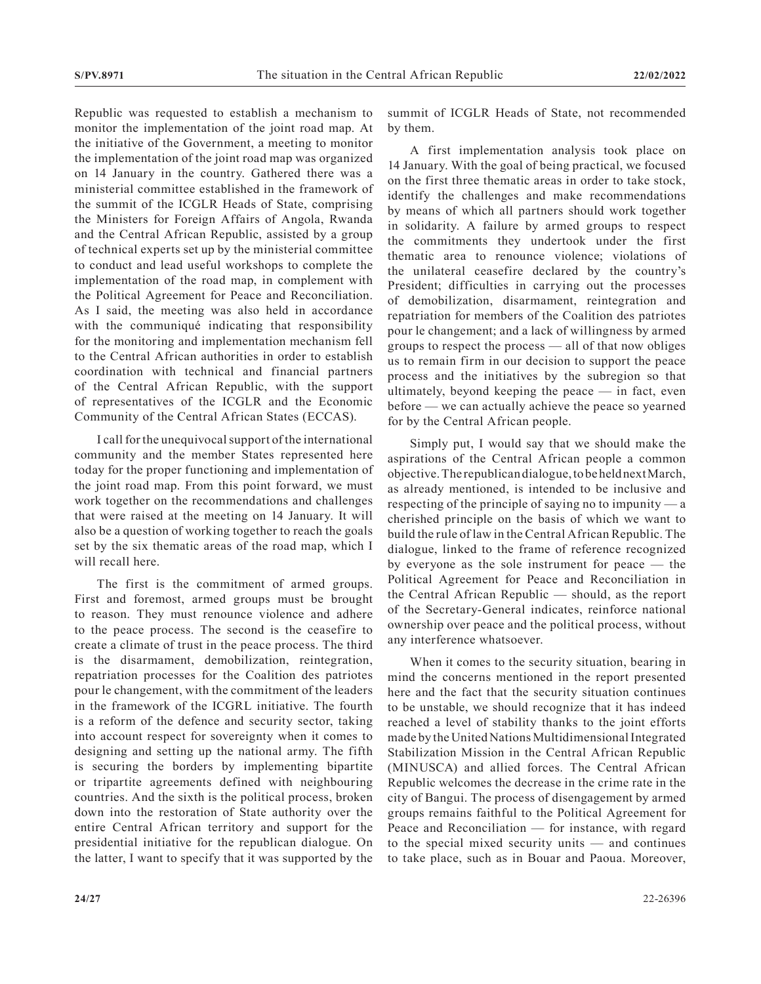Republic was requested to establish a mechanism to monitor the implementation of the joint road map. At the initiative of the Government, a meeting to monitor the implementation of the joint road map was organized on 14 January in the country. Gathered there was a ministerial committee established in the framework of the summit of the ICGLR Heads of State, comprising the Ministers for Foreign Affairs of Angola, Rwanda and the Central African Republic, assisted by a group of technical experts set up by the ministerial committee to conduct and lead useful workshops to complete the implementation of the road map, in complement with the Political Agreement for Peace and Reconciliation. As I said, the meeting was also held in accordance with the communiqué indicating that responsibility for the monitoring and implementation mechanism fell to the Central African authorities in order to establish coordination with technical and financial partners of the Central African Republic, with the support of representatives of the ICGLR and the Economic Community of the Central African States (ECCAS).

I call for the unequivocal support of the international community and the member States represented here today for the proper functioning and implementation of the joint road map. From this point forward, we must work together on the recommendations and challenges that were raised at the meeting on 14 January. It will also be a question of working together to reach the goals set by the six thematic areas of the road map, which I will recall here.

The first is the commitment of armed groups. First and foremost, armed groups must be brought to reason. They must renounce violence and adhere to the peace process. The second is the ceasefire to create a climate of trust in the peace process. The third is the disarmament, demobilization, reintegration, repatriation processes for the Coalition des patriotes pour le changement, with the commitment of the leaders in the framework of the ICGRL initiative. The fourth is a reform of the defence and security sector, taking into account respect for sovereignty when it comes to designing and setting up the national army. The fifth is securing the borders by implementing bipartite or tripartite agreements defined with neighbouring countries. And the sixth is the political process, broken down into the restoration of State authority over the entire Central African territory and support for the presidential initiative for the republican dialogue. On the latter, I want to specify that it was supported by the summit of ICGLR Heads of State, not recommended by them.

A first implementation analysis took place on 14 January. With the goal of being practical, we focused on the first three thematic areas in order to take stock, identify the challenges and make recommendations by means of which all partners should work together in solidarity. A failure by armed groups to respect the commitments they undertook under the first thematic area to renounce violence; violations of the unilateral ceasefire declared by the country's President; difficulties in carrying out the processes of demobilization, disarmament, reintegration and repatriation for members of the Coalition des patriotes pour le changement; and a lack of willingness by armed groups to respect the process — all of that now obliges us to remain firm in our decision to support the peace process and the initiatives by the subregion so that ultimately, beyond keeping the peace  $-$  in fact, even before — we can actually achieve the peace so yearned for by the Central African people.

Simply put, I would say that we should make the aspirations of the Central African people a common objective. The republican dialogue, to be held next March, as already mentioned, is intended to be inclusive and respecting of the principle of saying no to impunity — a cherished principle on the basis of which we want to build the rule of law in the Central African Republic. The dialogue, linked to the frame of reference recognized by everyone as the sole instrument for peace — the Political Agreement for Peace and Reconciliation in the Central African Republic — should, as the report of the Secretary-General indicates, reinforce national ownership over peace and the political process, without any interference whatsoever.

When it comes to the security situation, bearing in mind the concerns mentioned in the report presented here and the fact that the security situation continues to be unstable, we should recognize that it has indeed reached a level of stability thanks to the joint efforts made by the United Nations Multidimensional Integrated Stabilization Mission in the Central African Republic (MINUSCA) and allied forces. The Central African Republic welcomes the decrease in the crime rate in the city of Bangui. The process of disengagement by armed groups remains faithful to the Political Agreement for Peace and Reconciliation — for instance, with regard to the special mixed security units — and continues to take place, such as in Bouar and Paoua. Moreover,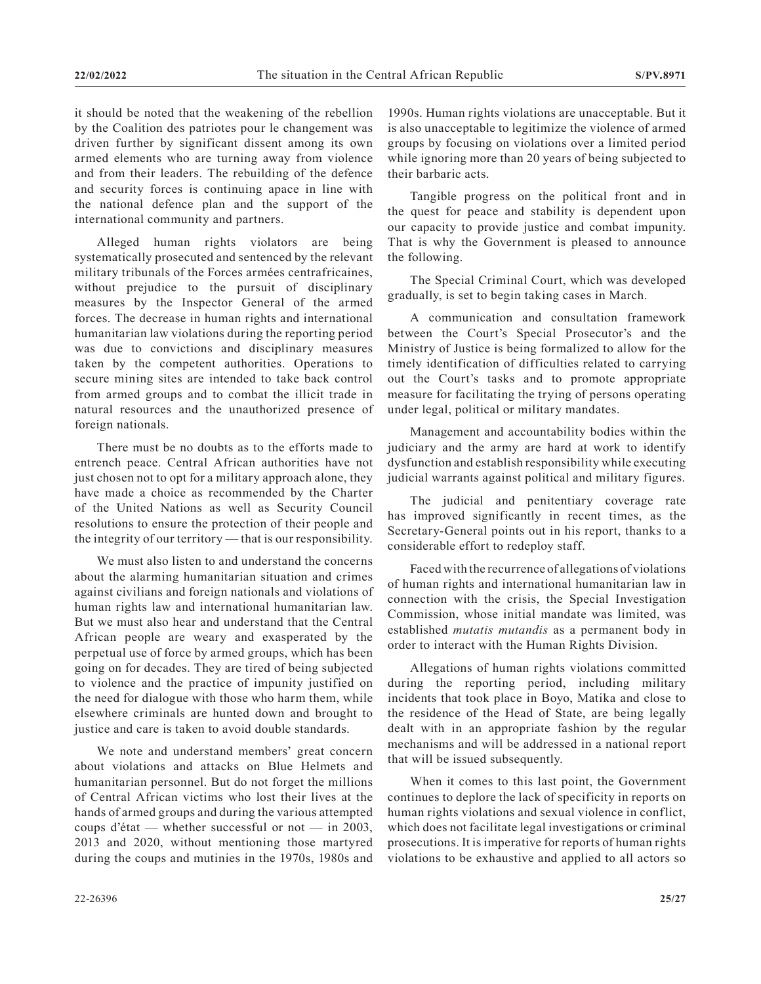it should be noted that the weakening of the rebellion by the Coalition des patriotes pour le changement was driven further by significant dissent among its own armed elements who are turning away from violence and from their leaders. The rebuilding of the defence and security forces is continuing apace in line with the national defence plan and the support of the international community and partners.

Alleged human rights violators are being systematically prosecuted and sentenced by the relevant military tribunals of the Forces armées centrafricaines, without prejudice to the pursuit of disciplinary measures by the Inspector General of the armed forces. The decrease in human rights and international humanitarian law violations during the reporting period was due to convictions and disciplinary measures taken by the competent authorities. Operations to secure mining sites are intended to take back control from armed groups and to combat the illicit trade in natural resources and the unauthorized presence of foreign nationals.

There must be no doubts as to the efforts made to entrench peace. Central African authorities have not just chosen not to opt for a military approach alone, they have made a choice as recommended by the Charter of the United Nations as well as Security Council resolutions to ensure the protection of their people and the integrity of our territory — that is our responsibility.

We must also listen to and understand the concerns about the alarming humanitarian situation and crimes against civilians and foreign nationals and violations of human rights law and international humanitarian law. But we must also hear and understand that the Central African people are weary and exasperated by the perpetual use of force by armed groups, which has been going on for decades. They are tired of being subjected to violence and the practice of impunity justified on the need for dialogue with those who harm them, while elsewhere criminals are hunted down and brought to justice and care is taken to avoid double standards.

We note and understand members' great concern about violations and attacks on Blue Helmets and humanitarian personnel. But do not forget the millions of Central African victims who lost their lives at the hands of armed groups and during the various attempted coups d'état — whether successful or not — in 2003, 2013 and 2020, without mentioning those martyred during the coups and mutinies in the 1970s, 1980s and

1990s. Human rights violations are unacceptable. But it is also unacceptable to legitimize the violence of armed groups by focusing on violations over a limited period while ignoring more than 20 years of being subjected to their barbaric acts.

Tangible progress on the political front and in the quest for peace and stability is dependent upon our capacity to provide justice and combat impunity. That is why the Government is pleased to announce the following.

The Special Criminal Court, which was developed gradually, is set to begin taking cases in March.

A communication and consultation framework between the Court's Special Prosecutor's and the Ministry of Justice is being formalized to allow for the timely identification of difficulties related to carrying out the Court's tasks and to promote appropriate measure for facilitating the trying of persons operating under legal, political or military mandates.

Management and accountability bodies within the judiciary and the army are hard at work to identify dysfunction and establish responsibility while executing judicial warrants against political and military figures.

The judicial and penitentiary coverage rate has improved significantly in recent times, as the Secretary-General points out in his report, thanks to a considerable effort to redeploy staff.

Faced with the recurrence of allegations of violations of human rights and international humanitarian law in connection with the crisis, the Special Investigation Commission, whose initial mandate was limited, was established *mutatis mutandis* as a permanent body in order to interact with the Human Rights Division.

Allegations of human rights violations committed during the reporting period, including military incidents that took place in Boyo, Matika and close to the residence of the Head of State, are being legally dealt with in an appropriate fashion by the regular mechanisms and will be addressed in a national report that will be issued subsequently.

When it comes to this last point, the Government continues to deplore the lack of specificity in reports on human rights violations and sexual violence in conflict, which does not facilitate legal investigations or criminal prosecutions. It is imperative for reports of human rights violations to be exhaustive and applied to all actors so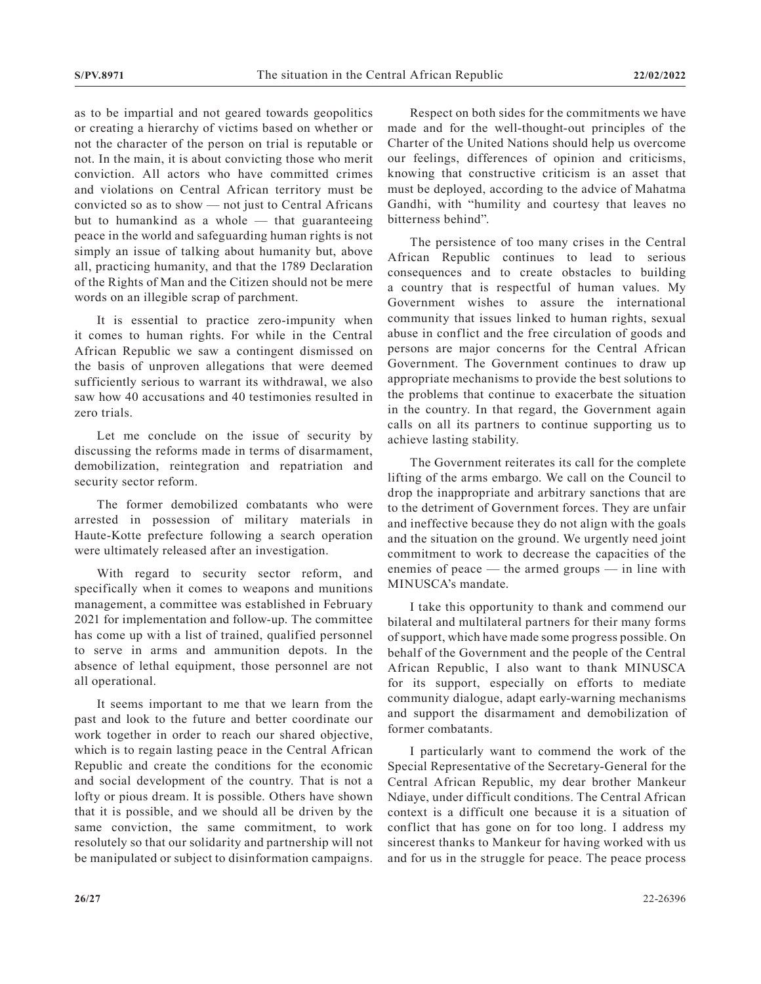as to be impartial and not geared towards geopolitics or creating a hierarchy of victims based on whether or not the character of the person on trial is reputable or not. In the main, it is about convicting those who merit conviction. All actors who have committed crimes and violations on Central African territory must be convicted so as to show — not just to Central Africans but to humankind as a whole  $-$  that guaranteeing peace in the world and safeguarding human rights is not simply an issue of talking about humanity but, above all, practicing humanity, and that the 1789 Declaration of the Rights of Man and the Citizen should not be mere words on an illegible scrap of parchment.

It is essential to practice zero-impunity when it comes to human rights. For while in the Central African Republic we saw a contingent dismissed on the basis of unproven allegations that were deemed sufficiently serious to warrant its withdrawal, we also saw how 40 accusations and 40 testimonies resulted in zero trials.

Let me conclude on the issue of security by discussing the reforms made in terms of disarmament, demobilization, reintegration and repatriation and security sector reform.

The former demobilized combatants who were arrested in possession of military materials in Haute-Kotte prefecture following a search operation were ultimately released after an investigation.

With regard to security sector reform, and specifically when it comes to weapons and munitions management, a committee was established in February 2021 for implementation and follow-up. The committee has come up with a list of trained, qualified personnel to serve in arms and ammunition depots. In the absence of lethal equipment, those personnel are not all operational.

It seems important to me that we learn from the past and look to the future and better coordinate our work together in order to reach our shared objective, which is to regain lasting peace in the Central African Republic and create the conditions for the economic and social development of the country. That is not a lofty or pious dream. It is possible. Others have shown that it is possible, and we should all be driven by the same conviction, the same commitment, to work resolutely so that our solidarity and partnership will not be manipulated or subject to disinformation campaigns.

Respect on both sides for the commitments we have made and for the well-thought-out principles of the Charter of the United Nations should help us overcome our feelings, differences of opinion and criticisms, knowing that constructive criticism is an asset that must be deployed, according to the advice of Mahatma Gandhi, with "humility and courtesy that leaves no bitterness behind".

The persistence of too many crises in the Central African Republic continues to lead to serious consequences and to create obstacles to building a country that is respectful of human values. My Government wishes to assure the international community that issues linked to human rights, sexual abuse in conflict and the free circulation of goods and persons are major concerns for the Central African Government. The Government continues to draw up appropriate mechanisms to provide the best solutions to the problems that continue to exacerbate the situation in the country. In that regard, the Government again calls on all its partners to continue supporting us to achieve lasting stability.

The Government reiterates its call for the complete lifting of the arms embargo. We call on the Council to drop the inappropriate and arbitrary sanctions that are to the detriment of Government forces. They are unfair and ineffective because they do not align with the goals and the situation on the ground. We urgently need joint commitment to work to decrease the capacities of the enemies of peace — the armed groups — in line with MINUSCA's mandate.

I take this opportunity to thank and commend our bilateral and multilateral partners for their many forms of support, which have made some progress possible. On behalf of the Government and the people of the Central African Republic, I also want to thank MINUSCA for its support, especially on efforts to mediate community dialogue, adapt early-warning mechanisms and support the disarmament and demobilization of former combatants.

I particularly want to commend the work of the Special Representative of the Secretary-General for the Central African Republic, my dear brother Mankeur Ndiaye, under difficult conditions. The Central African context is a difficult one because it is a situation of conflict that has gone on for too long. I address my sincerest thanks to Mankeur for having worked with us and for us in the struggle for peace. The peace process